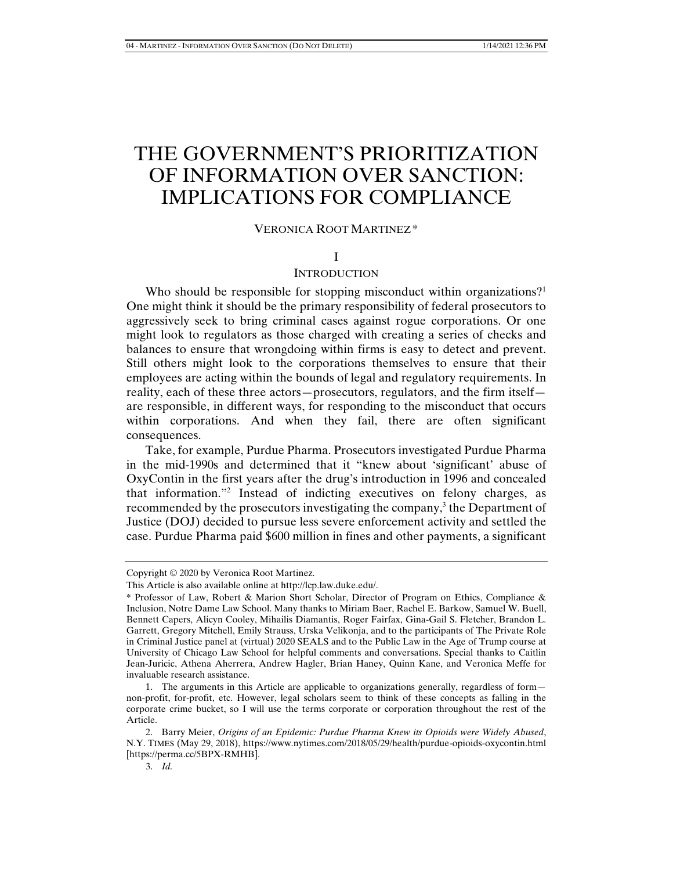# THE GOVERNMENT'S PRIORITIZATION OF INFORMATION OVER SANCTION: IMPLICATIONS FOR COMPLIANCE

# VERONICA ROOT MARTINEZ\*

#### I

## **INTRODUCTION**

Who should be responsible for stopping misconduct within organizations?<sup>1</sup> One might think it should be the primary responsibility of federal prosecutors to aggressively seek to bring criminal cases against rogue corporations. Or one might look to regulators as those charged with creating a series of checks and balances to ensure that wrongdoing within firms is easy to detect and prevent. Still others might look to the corporations themselves to ensure that their employees are acting within the bounds of legal and regulatory requirements. In reality, each of these three actors—prosecutors, regulators, and the firm itself are responsible, in different ways, for responding to the misconduct that occurs within corporations. And when they fail, there are often significant consequences.

Take, for example, Purdue Pharma. Prosecutors investigated Purdue Pharma in the mid-1990s and determined that it "knew about 'significant' abuse of OxyContin in the first years after the drug's introduction in 1996 and concealed that information."2 Instead of indicting executives on felony charges, as recommended by the prosecutors investigating the company,<sup>3</sup> the Department of Justice (DOJ) decided to pursue less severe enforcement activity and settled the case. Purdue Pharma paid \$600 million in fines and other payments, a significant

Copyright © 2020 by Veronica Root Martinez.

This Article is also available online at http://lcp.law.duke.edu/.

<sup>\*</sup> Professor of Law, Robert & Marion Short Scholar, Director of Program on Ethics, Compliance & Inclusion, Notre Dame Law School. Many thanks to Miriam Baer, Rachel E. Barkow, Samuel W. Buell, Bennett Capers, Alicyn Cooley, Mihailis Diamantis, Roger Fairfax, Gina-Gail S. Fletcher, Brandon L. Garrett, Gregory Mitchell, Emily Strauss, Urska Velikonja, and to the participants of The Private Role in Criminal Justice panel at (virtual) 2020 SEALS and to the Public Law in the Age of Trump course at University of Chicago Law School for helpful comments and conversations. Special thanks to Caitlin Jean-Juricic, Athena Aherrera, Andrew Hagler, Brian Haney, Quinn Kane, and Veronica Meffe for invaluable research assistance.

 <sup>1.</sup> The arguments in this Article are applicable to organizations generally, regardless of form non-profit, for-profit, etc. However, legal scholars seem to think of these concepts as falling in the corporate crime bucket, so I will use the terms corporate or corporation throughout the rest of the Article.

 <sup>2.</sup> Barry Meier, *Origins of an Epidemic: Purdue Pharma Knew its Opioids were Widely Abused*, N.Y. TIMES (May 29, 2018), https://www.nytimes.com/2018/05/29/health/purdue-opioids-oxycontin.html [https://perma.cc/5BPX-RMHB].

 <sup>3.</sup> *Id.*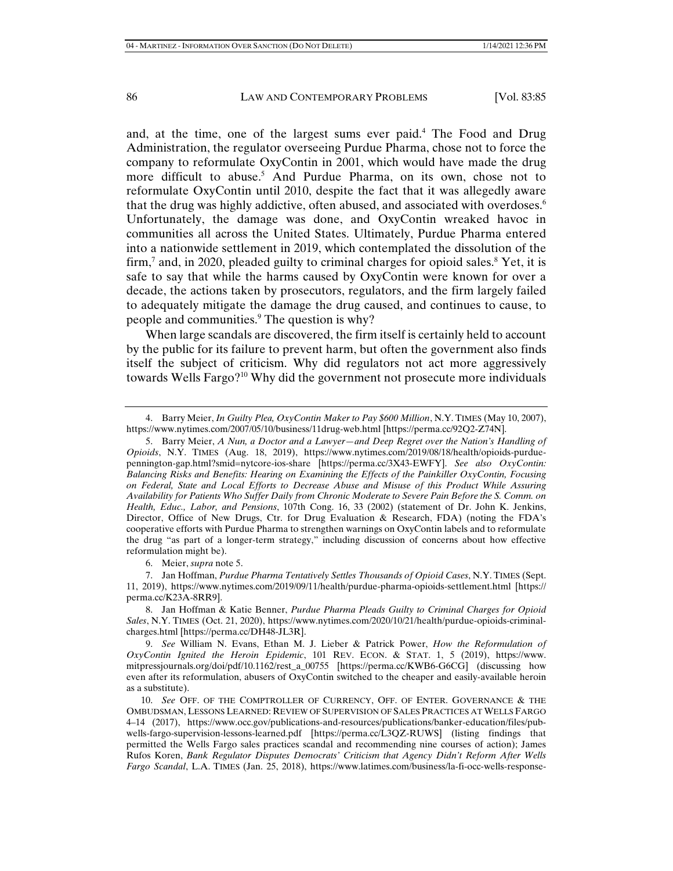and, at the time, one of the largest sums ever paid.<sup>4</sup> The Food and Drug Administration, the regulator overseeing Purdue Pharma, chose not to force the company to reformulate OxyContin in 2001, which would have made the drug more difficult to abuse.<sup>5</sup> And Purdue Pharma, on its own, chose not to reformulate OxyContin until 2010, despite the fact that it was allegedly aware that the drug was highly addictive, often abused, and associated with overdoses.<sup>6</sup> Unfortunately, the damage was done, and OxyContin wreaked havoc in communities all across the United States. Ultimately, Purdue Pharma entered into a nationwide settlement in 2019, which contemplated the dissolution of the firm,<sup>7</sup> and, in 2020, pleaded guilty to criminal charges for opioid sales.<sup>8</sup> Yet, it is safe to say that while the harms caused by OxyContin were known for over a decade, the actions taken by prosecutors, regulators, and the firm largely failed to adequately mitigate the damage the drug caused, and continues to cause, to people and communities.<sup>9</sup> The question is why?

When large scandals are discovered, the firm itself is certainly held to account by the public for its failure to prevent harm, but often the government also finds itself the subject of criticism. Why did regulators not act more aggressively towards Wells Fargo?10 Why did the government not prosecute more individuals

 <sup>4.</sup> Barry Meier, *In Guilty Plea, OxyContin Maker to Pay \$600 Million*, N.Y. TIMES (May 10, 2007), https://www.nytimes.com/2007/05/10/business/11drug-web.html [https://perma.cc/92Q2-Z74N].

 <sup>5.</sup> Barry Meier, *A Nun, a Doctor and a Lawyer—and Deep Regret over the Nation's Handling of Opioids*, N.Y. TIMES (Aug. 18, 2019), https://www.nytimes.com/2019/08/18/health/opioids-purduepennington-gap.html?smid=nytcore-ios-share [https://perma.cc/3X43-EWFY]. *See also OxyContin: Balancing Risks and Benefits: Hearing on Examining the Effects of the Painkiller OxyContin, Focusing on Federal, State and Local Efforts to Decrease Abuse and Misuse of this Product While Assuring Availability for Patients Who Suffer Daily from Chronic Moderate to Severe Pain Before the S. Comm. on Health, Educ., Labor, and Pensions*, 107th Cong. 16, 33 (2002) (statement of Dr. John K. Jenkins, Director, Office of New Drugs, Ctr. for Drug Evaluation & Research, FDA) (noting the FDA's cooperative efforts with Purdue Pharma to strengthen warnings on OxyContin labels and to reformulate the drug "as part of a longer-term strategy," including discussion of concerns about how effective reformulation might be).

 <sup>6.</sup> Meier, *supra* note 5.

 <sup>7.</sup> Jan Hoffman, *Purdue Pharma Tentatively Settles Thousands of Opioid Cases*, N.Y. TIMES (Sept. 11, 2019), https://www.nytimes.com/2019/09/11/health/purdue-pharma-opioids-settlement.html [https:// perma.cc/K23A-8RR9].

 <sup>8.</sup> Jan Hoffman & Katie Benner, *Purdue Pharma Pleads Guilty to Criminal Charges for Opioid Sales*, N.Y. TIMES (Oct. 21, 2020), https://www.nytimes.com/2020/10/21/health/purdue-opioids-criminalcharges.html [https://perma.cc/DH48-JL3R].

 <sup>9.</sup> *See* William N. Evans, Ethan M. J. Lieber & Patrick Power, *How the Reformulation of OxyContin Ignited the Heroin Epidemic*, 101 REV. ECON. & STAT. 1, 5 (2019), https://www. mitpressjournals.org/doi/pdf/10.1162/rest\_a\_00755 [https://perma.cc/KWB6-G6CG] (discussing how even after its reformulation, abusers of OxyContin switched to the cheaper and easily-available heroin as a substitute).

 <sup>10.</sup> *See* OFF. OF THE COMPTROLLER OF CURRENCY, OFF. OF ENTER. GOVERNANCE & THE OMBUDSMAN, LESSONS LEARNED: REVIEW OF SUPERVISION OF SALES PRACTICES AT WELLS FARGO 4–14 (2017), https://www.occ.gov/publications-and-resources/publications/banker-education/files/pubwells-fargo-supervision-lessons-learned.pdf [https://perma.cc/L3QZ-RUWS] (listing findings that permitted the Wells Fargo sales practices scandal and recommending nine courses of action); James Rufos Koren, *Bank Regulator Disputes Democrats' Criticism that Agency Didn't Reform After Wells Fargo Scandal*, L.A. TIMES (Jan. 25, 2018), https://www.latimes.com/business/la-fi-occ-wells-response-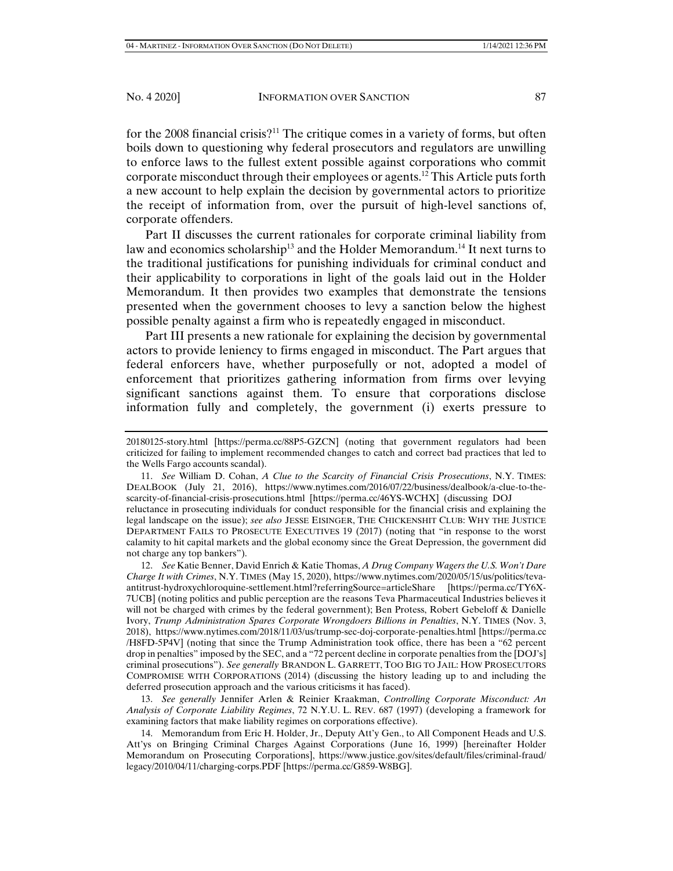for the 2008 financial crisis?<sup>11</sup> The critique comes in a variety of forms, but often boils down to questioning why federal prosecutors and regulators are unwilling to enforce laws to the fullest extent possible against corporations who commit corporate misconduct through their employees or agents.<sup>12</sup> This Article puts forth a new account to help explain the decision by governmental actors to prioritize the receipt of information from, over the pursuit of high-level sanctions of, corporate offenders.

Part II discusses the current rationales for corporate criminal liability from law and economics scholarship<sup>13</sup> and the Holder Memorandum.<sup>14</sup> It next turns to the traditional justifications for punishing individuals for criminal conduct and their applicability to corporations in light of the goals laid out in the Holder Memorandum. It then provides two examples that demonstrate the tensions presented when the government chooses to levy a sanction below the highest possible penalty against a firm who is repeatedly engaged in misconduct.

Part III presents a new rationale for explaining the decision by governmental actors to provide leniency to firms engaged in misconduct. The Part argues that federal enforcers have, whether purposefully or not, adopted a model of enforcement that prioritizes gathering information from firms over levying significant sanctions against them. To ensure that corporations disclose information fully and completely, the government (i) exerts pressure to

 13. *See generally* Jennifer Arlen & Reinier Kraakman, *Controlling Corporate Misconduct: An Analysis of Corporate Liability Regimes*, 72 N.Y.U. L. REV. 687 (1997) (developing a framework for examining factors that make liability regimes on corporations effective).

 14. Memorandum from Eric H. Holder, Jr., Deputy Att'y Gen., to All Component Heads and U.S. Att'ys on Bringing Criminal Charges Against Corporations (June 16, 1999) [hereinafter Holder Memorandum on Prosecuting Corporations], https://www.justice.gov/sites/default/files/criminal-fraud/ legacy/2010/04/11/charging-corps.PDF [https://perma.cc/G859-W8BG].

<sup>20180125-</sup>story.html [https://perma.cc/88P5-GZCN] (noting that government regulators had been criticized for failing to implement recommended changes to catch and correct bad practices that led to the Wells Fargo accounts scandal).

 <sup>11.</sup> *See* William D. Cohan, *A Clue to the Scarcity of Financial Crisis Prosecutions*, N.Y. TIMES: DEALBOOK (July 21, 2016), https://www.nytimes.com/2016/07/22/business/dealbook/a-clue-to-thescarcity-of-financial-crisis-prosecutions.html [https://perma.cc/46YS-WCHX] (discussing DOJ reluctance in prosecuting individuals for conduct responsible for the financial crisis and explaining the legal landscape on the issue); *see also* JESSE EISINGER, THE CHICKENSHIT CLUB: WHY THE JUSTICE DEPARTMENT FAILS TO PROSECUTE EXECUTIVES 19 (2017) (noting that "in response to the worst calamity to hit capital markets and the global economy since the Great Depression, the government did not charge any top bankers").

 <sup>12.</sup> *See* Katie Benner, David Enrich & Katie Thomas, *A Drug Company Wagers the U.S. Won't Dare Charge It with Crimes*, N.Y. TIMES (May 15, 2020), https://www.nytimes.com/2020/05/15/us/politics/tevaantitrust-hydroxychloroquine-settlement.html?referringSource=articleShare [https://perma.cc/TY6X-7UCB] (noting politics and public perception are the reasons Teva Pharmaceutical Industries believes it will not be charged with crimes by the federal government); Ben Protess, Robert Gebeloff & Danielle Ivory, *Trump Administration Spares Corporate Wrongdoers Billions in Penalties*, N.Y. TIMES (Nov. 3, 2018), https://www.nytimes.com/2018/11/03/us/trump-sec-doj-corporate-penalties.html [https://perma.cc /H8FD-5P4V] (noting that since the Trump Administration took office, there has been a "62 percent drop in penalties" imposed by the SEC, and a "72 percent decline in corporate penalties from the [DOJ's] criminal prosecutions"). *See generally* BRANDON L. GARRETT, TOO BIG TO JAIL: HOW PROSECUTORS COMPROMISE WITH CORPORATIONS (2014) (discussing the history leading up to and including the deferred prosecution approach and the various criticisms it has faced).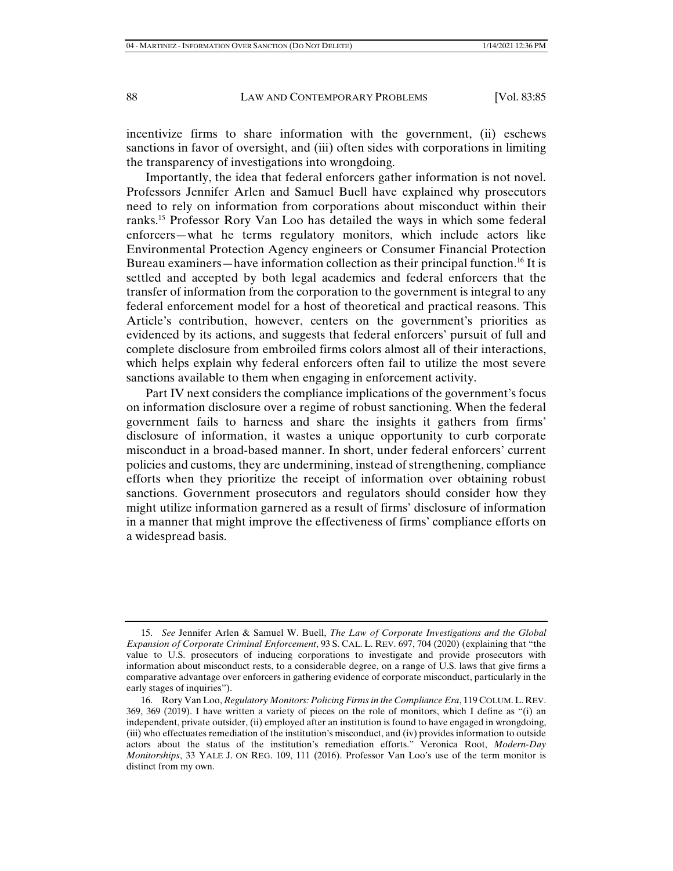incentivize firms to share information with the government, (ii) eschews sanctions in favor of oversight, and (iii) often sides with corporations in limiting the transparency of investigations into wrongdoing.

Importantly, the idea that federal enforcers gather information is not novel. Professors Jennifer Arlen and Samuel Buell have explained why prosecutors need to rely on information from corporations about misconduct within their ranks.15 Professor Rory Van Loo has detailed the ways in which some federal enforcers—what he terms regulatory monitors, which include actors like Environmental Protection Agency engineers or Consumer Financial Protection Bureau examiners—have information collection as their principal function.<sup>16</sup> It is settled and accepted by both legal academics and federal enforcers that the transfer of information from the corporation to the government is integral to any federal enforcement model for a host of theoretical and practical reasons. This Article's contribution, however, centers on the government's priorities as evidenced by its actions, and suggests that federal enforcers' pursuit of full and complete disclosure from embroiled firms colors almost all of their interactions, which helps explain why federal enforcers often fail to utilize the most severe sanctions available to them when engaging in enforcement activity.

Part IV next considers the compliance implications of the government's focus on information disclosure over a regime of robust sanctioning. When the federal government fails to harness and share the insights it gathers from firms' disclosure of information, it wastes a unique opportunity to curb corporate misconduct in a broad-based manner. In short, under federal enforcers' current policies and customs, they are undermining, instead of strengthening, compliance efforts when they prioritize the receipt of information over obtaining robust sanctions. Government prosecutors and regulators should consider how they might utilize information garnered as a result of firms' disclosure of information in a manner that might improve the effectiveness of firms' compliance efforts on a widespread basis.

 <sup>15.</sup> *See* Jennifer Arlen & Samuel W. Buell, *The Law of Corporate Investigations and the Global Expansion of Corporate Criminal Enforcement*, 93 S. CAL. L. REV. 697, 704 (2020) (explaining that "the value to U.S. prosecutors of inducing corporations to investigate and provide prosecutors with information about misconduct rests, to a considerable degree, on a range of U.S. laws that give firms a comparative advantage over enforcers in gathering evidence of corporate misconduct, particularly in the early stages of inquiries").

 <sup>16.</sup> Rory Van Loo, *Regulatory Monitors: Policing Firms in the Compliance Era*, 119 COLUM.L. REV. 369, 369 (2019). I have written a variety of pieces on the role of monitors, which I define as "(i) an independent, private outsider, (ii) employed after an institution is found to have engaged in wrongdoing, (iii) who effectuates remediation of the institution's misconduct, and (iv) provides information to outside actors about the status of the institution's remediation efforts." Veronica Root, *Modern-Day Monitorships*, 33 YALE J. ON REG. 109, 111 (2016). Professor Van Loo's use of the term monitor is distinct from my own.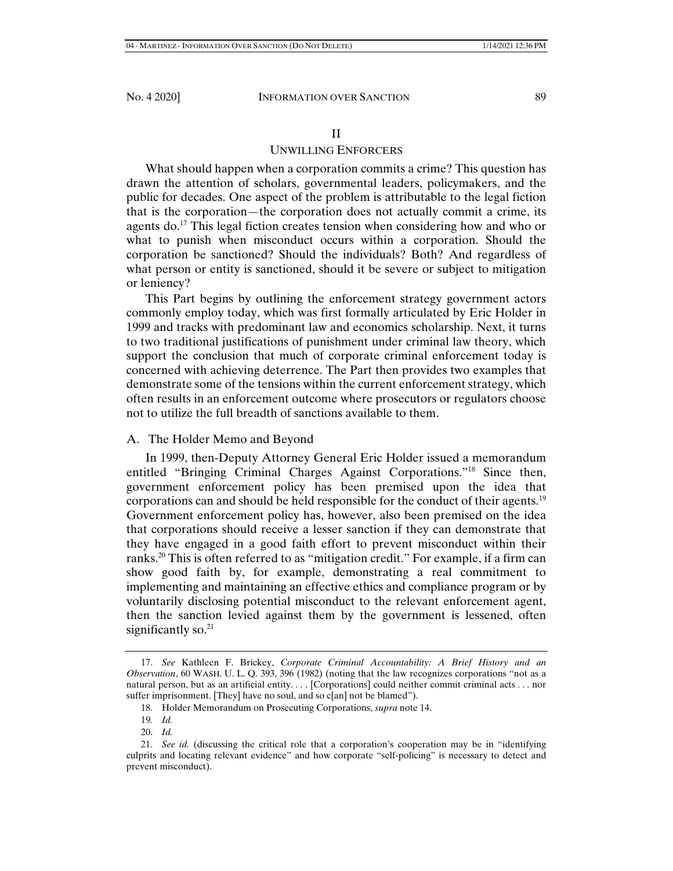## II

# UNWILLING ENFORCERS

What should happen when a corporation commits a crime? This question has drawn the attention of scholars, governmental leaders, policymakers, and the public for decades. One aspect of the problem is attributable to the legal fiction that is the corporation—the corporation does not actually commit a crime, its agents do.<sup>17</sup> This legal fiction creates tension when considering how and who or what to punish when misconduct occurs within a corporation. Should the corporation be sanctioned? Should the individuals? Both? And regardless of what person or entity is sanctioned, should it be severe or subject to mitigation or leniency?

This Part begins by outlining the enforcement strategy government actors commonly employ today, which was first formally articulated by Eric Holder in 1999 and tracks with predominant law and economics scholarship. Next, it turns to two traditional justifications of punishment under criminal law theory, which support the conclusion that much of corporate criminal enforcement today is concerned with achieving deterrence. The Part then provides two examples that demonstrate some of the tensions within the current enforcement strategy, which often results in an enforcement outcome where prosecutors or regulators choose not to utilize the full breadth of sanctions available to them.

# A. The Holder Memo and Beyond

In 1999, then-Deputy Attorney General Eric Holder issued a memorandum entitled "Bringing Criminal Charges Against Corporations."18 Since then, government enforcement policy has been premised upon the idea that corporations can and should be held responsible for the conduct of their agents.19 Government enforcement policy has, however, also been premised on the idea that corporations should receive a lesser sanction if they can demonstrate that they have engaged in a good faith effort to prevent misconduct within their ranks.20 This is often referred to as "mitigation credit." For example, if a firm can show good faith by, for example, demonstrating a real commitment to implementing and maintaining an effective ethics and compliance program or by voluntarily disclosing potential misconduct to the relevant enforcement agent, then the sanction levied against them by the government is lessened, often significantly so. $21$ 

 <sup>17.</sup> *See* Kathleen F. Brickey, *Corporate Criminal Accountability: A Brief History and an Observation*, 60 WASH. U. L. Q. 393, 396 (1982) (noting that the law recognizes corporations "not as a natural person, but as an artificial entity. . . . [Corporations] could neither commit criminal acts . . . nor suffer imprisonment. [They] have no soul, and so c[an] not be blamed").

 <sup>18.</sup> Holder Memorandum on Prosecuting Corporations, *supra* note 14.

<sup>19</sup>*. Id.*

 <sup>20.</sup> *Id.*

 <sup>21.</sup> *See id.* (discussing the critical role that a corporation's cooperation may be in "identifying culprits and locating relevant evidence" and how corporate "self-policing" is necessary to detect and prevent misconduct).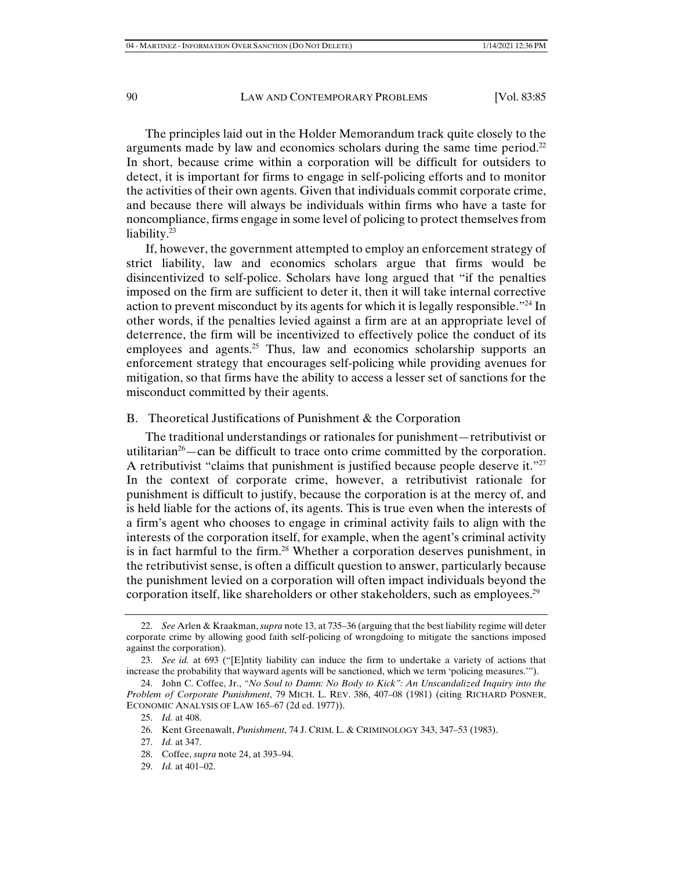The principles laid out in the Holder Memorandum track quite closely to the arguments made by law and economics scholars during the same time period.<sup>22</sup> In short, because crime within a corporation will be difficult for outsiders to detect, it is important for firms to engage in self-policing efforts and to monitor the activities of their own agents. Given that individuals commit corporate crime, and because there will always be individuals within firms who have a taste for noncompliance, firms engage in some level of policing to protect themselves from liability.<sup>23</sup>

If, however, the government attempted to employ an enforcement strategy of strict liability, law and economics scholars argue that firms would be disincentivized to self-police. Scholars have long argued that "if the penalties imposed on the firm are sufficient to deter it, then it will take internal corrective action to prevent misconduct by its agents for which it is legally responsible."24 In other words, if the penalties levied against a firm are at an appropriate level of deterrence, the firm will be incentivized to effectively police the conduct of its employees and agents.<sup>25</sup> Thus, law and economics scholarship supports an enforcement strategy that encourages self-policing while providing avenues for mitigation, so that firms have the ability to access a lesser set of sanctions for the misconduct committed by their agents.

B. Theoretical Justifications of Punishment & the Corporation

The traditional understandings or rationales for punishment—retributivist or utilitarian<sup>26</sup>—can be difficult to trace onto crime committed by the corporation. A retributivist "claims that punishment is justified because people deserve it."<sup>27</sup> In the context of corporate crime, however, a retributivist rationale for punishment is difficult to justify, because the corporation is at the mercy of, and is held liable for the actions of, its agents. This is true even when the interests of a firm's agent who chooses to engage in criminal activity fails to align with the interests of the corporation itself, for example, when the agent's criminal activity is in fact harmful to the firm.<sup>28</sup> Whether a corporation deserves punishment, in the retributivist sense, is often a difficult question to answer, particularly because the punishment levied on a corporation will often impact individuals beyond the corporation itself, like shareholders or other stakeholders, such as employees.<sup>29</sup>

29. *Id.* at 401–02.

 <sup>22.</sup> *See* Arlen & Kraakman, *supra* note 13, at 735–36 (arguing that the best liability regime will deter corporate crime by allowing good faith self-policing of wrongdoing to mitigate the sanctions imposed against the corporation).

 <sup>23.</sup> *See id.* at 693 ("[E]ntity liability can induce the firm to undertake a variety of actions that increase the probability that wayward agents will be sanctioned, which we term 'policing measures.'").

 <sup>24.</sup> John C. Coffee, Jr., *"No Soul to Damn: No Body to Kick": An Unscandalized Inquiry into the Problem of Corporate Punishment*, 79 MICH. L. REV. 386, 407–08 (1981) (citing RICHARD POSNER, ECONOMIC ANALYSIS OF LAW 165–67 (2d ed. 1977)).

 <sup>25.</sup> *Id.* at 408.

 <sup>26.</sup> Kent Greenawalt, *Punishment*, 74 J. CRIM. L. & CRIMINOLOGY 343, 347–53 (1983).

 <sup>27.</sup> *Id.* at 347.

 <sup>28.</sup> Coffee, *supra* note 24, at 393–94.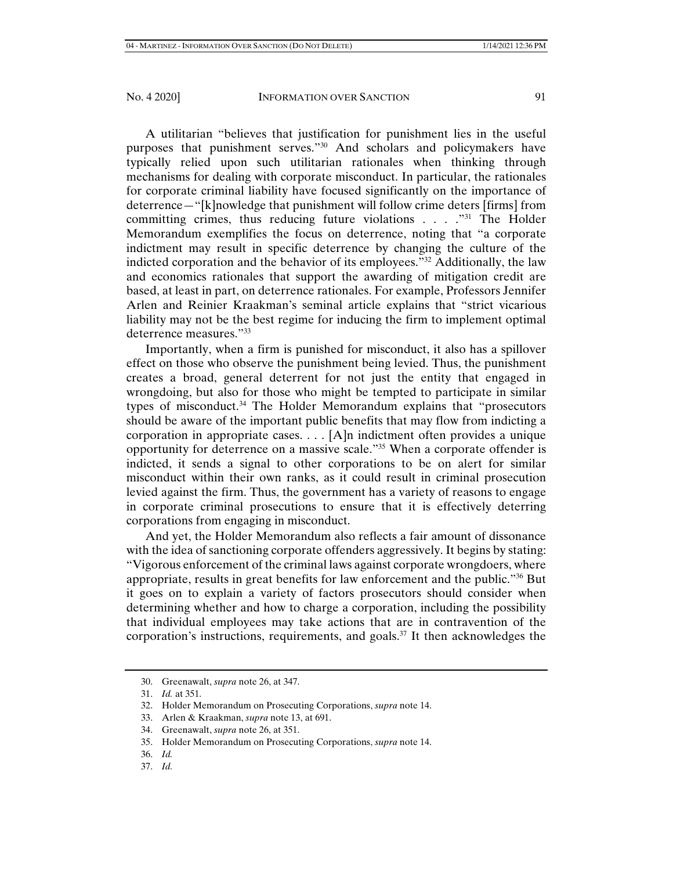A utilitarian "believes that justification for punishment lies in the useful purposes that punishment serves."30 And scholars and policymakers have typically relied upon such utilitarian rationales when thinking through mechanisms for dealing with corporate misconduct. In particular, the rationales for corporate criminal liability have focused significantly on the importance of deterrence—"[k]nowledge that punishment will follow crime deters [firms] from committing crimes, thus reducing future violations . . . . "<sup>31</sup> The Holder Memorandum exemplifies the focus on deterrence, noting that "a corporate indictment may result in specific deterrence by changing the culture of the indicted corporation and the behavior of its employees."32 Additionally, the law and economics rationales that support the awarding of mitigation credit are based, at least in part, on deterrence rationales. For example, Professors Jennifer Arlen and Reinier Kraakman's seminal article explains that "strict vicarious liability may not be the best regime for inducing the firm to implement optimal deterrence measures."33

Importantly, when a firm is punished for misconduct, it also has a spillover effect on those who observe the punishment being levied. Thus, the punishment creates a broad, general deterrent for not just the entity that engaged in wrongdoing, but also for those who might be tempted to participate in similar types of misconduct.34 The Holder Memorandum explains that "prosecutors should be aware of the important public benefits that may flow from indicting a corporation in appropriate cases. . . . [A]n indictment often provides a unique opportunity for deterrence on a massive scale."35 When a corporate offender is indicted, it sends a signal to other corporations to be on alert for similar misconduct within their own ranks, as it could result in criminal prosecution levied against the firm. Thus, the government has a variety of reasons to engage in corporate criminal prosecutions to ensure that it is effectively deterring corporations from engaging in misconduct.

And yet, the Holder Memorandum also reflects a fair amount of dissonance with the idea of sanctioning corporate offenders aggressively. It begins by stating: "Vigorous enforcement of the criminal laws against corporate wrongdoers, where appropriate, results in great benefits for law enforcement and the public."36 But it goes on to explain a variety of factors prosecutors should consider when determining whether and how to charge a corporation, including the possibility that individual employees may take actions that are in contravention of the corporation's instructions, requirements, and goals.<sup>37</sup> It then acknowledges the

- 32. Holder Memorandum on Prosecuting Corporations, *supra* note 14.
- 33. Arlen & Kraakman, *supra* note 13, at 691.
- 34. Greenawalt, *supra* note 26, at 351.
- 35. Holder Memorandum on Prosecuting Corporations, *supra* note 14.
- 36. *Id.*
- 37. *Id.*

 <sup>30.</sup> Greenawalt, *supra* note 26, at 347.

 <sup>31.</sup> *Id.* at 351.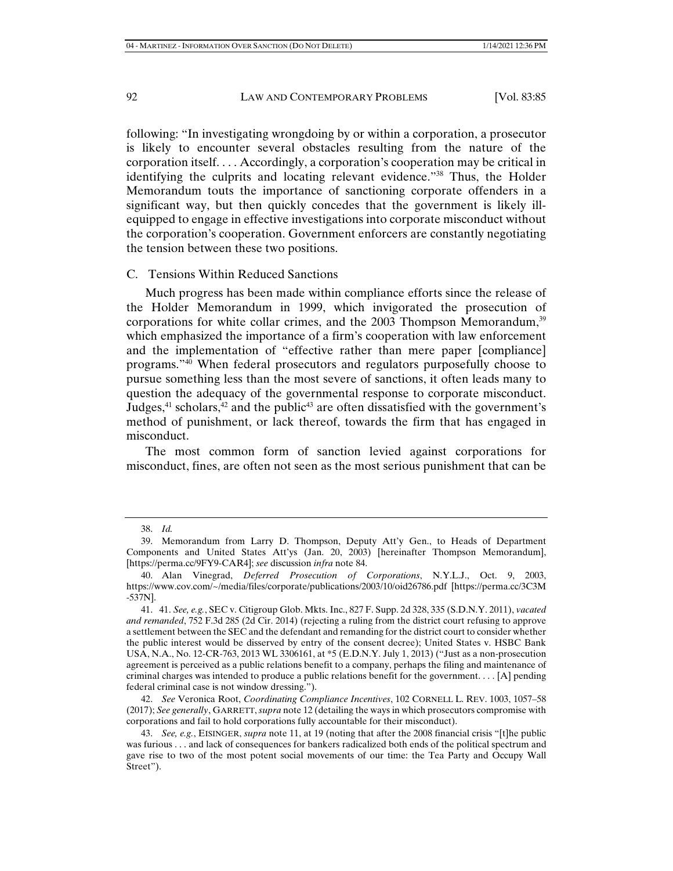following: "In investigating wrongdoing by or within a corporation, a prosecutor is likely to encounter several obstacles resulting from the nature of the corporation itself. . . . Accordingly, a corporation's cooperation may be critical in identifying the culprits and locating relevant evidence."38 Thus, the Holder Memorandum touts the importance of sanctioning corporate offenders in a significant way, but then quickly concedes that the government is likely illequipped to engage in effective investigations into corporate misconduct without the corporation's cooperation. Government enforcers are constantly negotiating the tension between these two positions.

## C. Tensions Within Reduced Sanctions

Much progress has been made within compliance efforts since the release of the Holder Memorandum in 1999, which invigorated the prosecution of corporations for white collar crimes, and the 2003 Thompson Memorandum,<sup>39</sup> which emphasized the importance of a firm's cooperation with law enforcement and the implementation of "effective rather than mere paper [compliance] programs."40 When federal prosecutors and regulators purposefully choose to pursue something less than the most severe of sanctions, it often leads many to question the adequacy of the governmental response to corporate misconduct. Judges, $41$  scholars, $42$  and the public $43$  are often dissatisfied with the government's method of punishment, or lack thereof, towards the firm that has engaged in misconduct.

The most common form of sanction levied against corporations for misconduct, fines, are often not seen as the most serious punishment that can be

 <sup>38.</sup> *Id.*

 <sup>39.</sup> Memorandum from Larry D. Thompson, Deputy Att'y Gen., to Heads of Department Components and United States Att'ys (Jan. 20, 2003) [hereinafter Thompson Memorandum], [https://perma.cc/9FY9-CAR4]; *see* discussion *infra* note 84.

 <sup>40.</sup> Alan Vinegrad, *Deferred Prosecution of Corporations*, N.Y.L.J., Oct. 9, 2003, https://www.cov.com/~/media/files/corporate/publications/2003/10/oid26786.pdf [https://perma.cc/3C3M -537N].

 <sup>41. 41.</sup> *See, e.g.*, SEC v. Citigroup Glob. Mkts. Inc., 827 F. Supp. 2d 328, 335 (S.D.N.Y. 2011), *vacated and remanded*, 752 F.3d 285 (2d Cir. 2014) (rejecting a ruling from the district court refusing to approve a settlement between the SEC and the defendant and remanding for the district court to consider whether the public interest would be disserved by entry of the consent decree); United States v. HSBC Bank USA, N.A., No. 12-CR-763, 2013 WL 3306161, at \*5 (E.D.N.Y. July 1, 2013) ("Just as a non-prosecution agreement is perceived as a public relations benefit to a company, perhaps the filing and maintenance of criminal charges was intended to produce a public relations benefit for the government. . . . [A] pending federal criminal case is not window dressing.").

 <sup>42.</sup> *See* Veronica Root, *Coordinating Compliance Incentives*, 102 CORNELL L. REV. 1003, 1057–58 (2017); *See generally*, GARRETT, *supra* note 12 (detailing the ways in which prosecutors compromise with corporations and fail to hold corporations fully accountable for their misconduct).

 <sup>43.</sup> *See, e.g.*, EISINGER, *supra* note 11, at 19 (noting that after the 2008 financial crisis "[t]he public was furious . . . and lack of consequences for bankers radicalized both ends of the political spectrum and gave rise to two of the most potent social movements of our time: the Tea Party and Occupy Wall Street").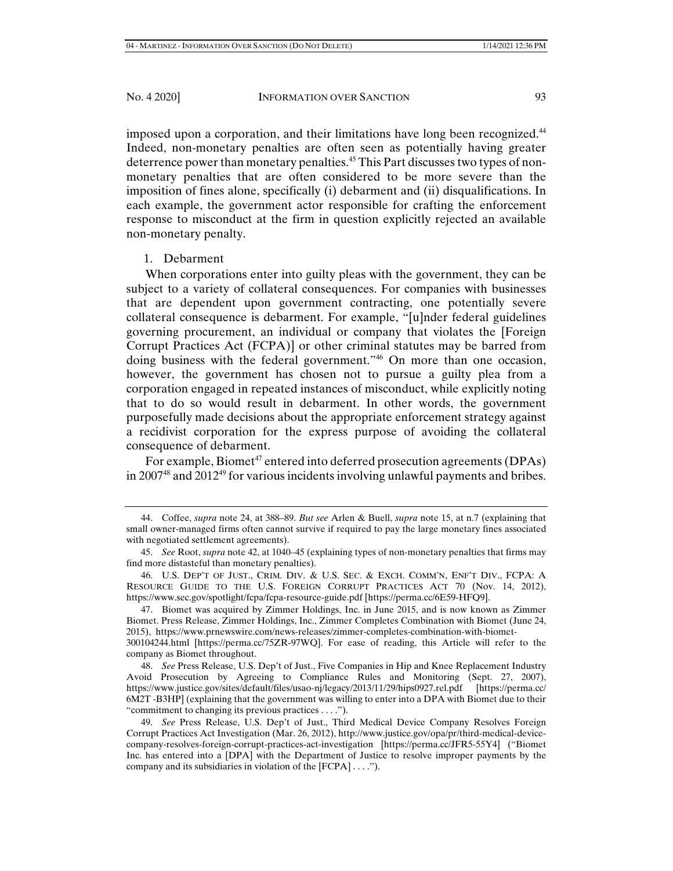imposed upon a corporation, and their limitations have long been recognized.44 Indeed, non-monetary penalties are often seen as potentially having greater deterrence power than monetary penalties.45 This Part discusses two types of nonmonetary penalties that are often considered to be more severe than the imposition of fines alone, specifically (i) debarment and (ii) disqualifications. In each example, the government actor responsible for crafting the enforcement response to misconduct at the firm in question explicitly rejected an available non-monetary penalty.

## 1. Debarment

When corporations enter into guilty pleas with the government, they can be subject to a variety of collateral consequences. For companies with businesses that are dependent upon government contracting, one potentially severe collateral consequence is debarment. For example, "[u]nder federal guidelines governing procurement, an individual or company that violates the [Foreign Corrupt Practices Act (FCPA)] or other criminal statutes may be barred from doing business with the federal government."46 On more than one occasion, however, the government has chosen not to pursue a guilty plea from a corporation engaged in repeated instances of misconduct, while explicitly noting that to do so would result in debarment. In other words, the government purposefully made decisions about the appropriate enforcement strategy against a recidivist corporation for the express purpose of avoiding the collateral consequence of debarment.

For example, Biomet<sup>47</sup> entered into deferred prosecution agreements (DPAs) in 200748 and 201249 for various incidents involving unlawful payments and bribes.

 <sup>44.</sup> Coffee, *supra* note 24, at 388–89. *But see* Arlen & Buell, *supra* note 15, at n.7 (explaining that small owner-managed firms often cannot survive if required to pay the large monetary fines associated with negotiated settlement agreements).

 <sup>45.</sup> *See* Root, *supra* note 42, at 1040–45 (explaining types of non-monetary penalties that firms may find more distasteful than monetary penalties).

 <sup>46.</sup> U.S. DEP'T OF JUST., CRIM. DIV. & U.S. SEC. & EXCH. COMM'N, ENF'T DIV., FCPA: A RESOURCE GUIDE TO THE U.S. FOREIGN CORRUPT PRACTICES ACT 70 (Nov. 14, 2012), https://www.sec.gov/spotlight/fcpa/fcpa-resource-guide.pdf [https://perma.cc/6E59-HFQ9].

 <sup>47.</sup> Biomet was acquired by Zimmer Holdings, Inc. in June 2015, and is now known as Zimmer Biomet. Press Release, Zimmer Holdings, Inc., Zimmer Completes Combination with Biomet (June 24, 2015), https://www.prnewswire.com/news-releases/zimmer-completes-combination-with-biomet-

<sup>300104244.</sup>html [https://perma.cc/75ZR-97WQ]. For ease of reading, this Article will refer to the company as Biomet throughout.

 <sup>48.</sup> *See* Press Release, U.S. Dep't of Just., Five Companies in Hip and Knee Replacement Industry Avoid Prosecution by Agreeing to Compliance Rules and Monitoring (Sept. 27, 2007), https://www.justice.gov/sites/default/files/usao-nj/legacy/2013/11/29/hips0927.rel.pdf [https://perma.cc/ 6M2T -B3HP] (explaining that the government was willing to enter into a DPA with Biomet due to their "commitment to changing its previous practices . . . .").

 <sup>49.</sup> *See* Press Release, U.S. Dep't of Just., Third Medical Device Company Resolves Foreign Corrupt Practices Act Investigation (Mar. 26, 2012), http://www.justice.gov/opa/pr/third-medical-devicecompany-resolves-foreign-corrupt-practices-act-investigation [https://perma.cc/JFR5-55Y4] ("Biomet Inc. has entered into a [DPA] with the Department of Justice to resolve improper payments by the company and its subsidiaries in violation of the [FCPA] . . . .").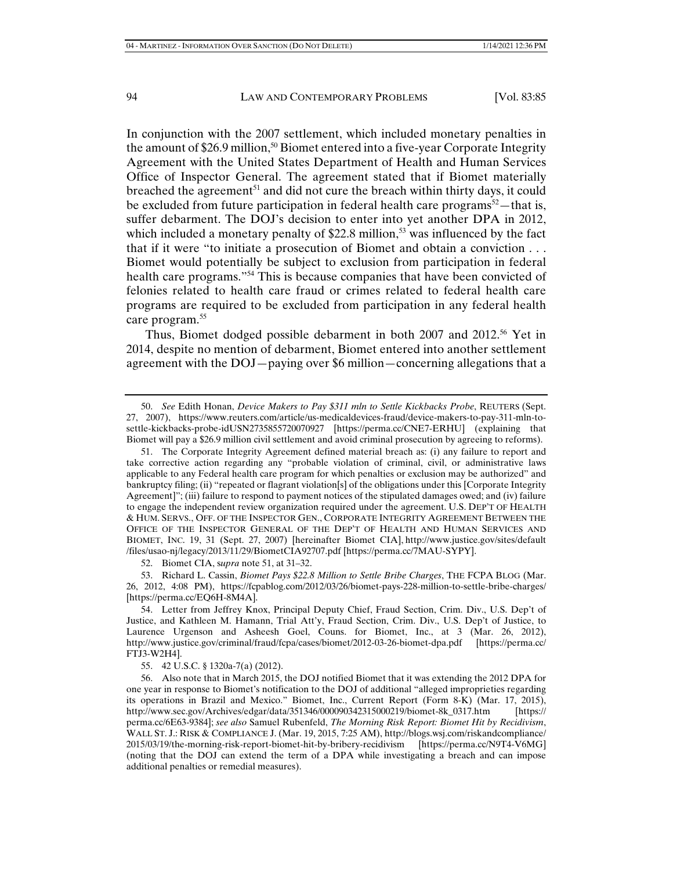In conjunction with the 2007 settlement, which included monetary penalties in the amount of \$26.9 million,<sup>50</sup> Biomet entered into a five-year Corporate Integrity Agreement with the United States Department of Health and Human Services Office of Inspector General. The agreement stated that if Biomet materially breached the agreement<sup>51</sup> and did not cure the breach within thirty days, it could be excluded from future participation in federal health care programs<sup>52</sup>—that is, suffer debarment. The DOJ's decision to enter into yet another DPA in 2012, which included a monetary penalty of  $$22.8$  million,<sup>53</sup> was influenced by the fact that if it were "to initiate a prosecution of Biomet and obtain a conviction . . . Biomet would potentially be subject to exclusion from participation in federal health care programs."54 This is because companies that have been convicted of felonies related to health care fraud or crimes related to federal health care programs are required to be excluded from participation in any federal health care program.55

Thus, Biomet dodged possible debarment in both 2007 and 2012.<sup>56</sup> Yet in 2014, despite no mention of debarment, Biomet entered into another settlement agreement with the DOJ—paying over \$6 million—concerning allegations that a

55. 42 U.S.C. § 1320a-7(a) (2012).

 <sup>50.</sup> *See* Edith Honan, *Device Makers to Pay \$311 mln to Settle Kickbacks Probe*, REUTERS (Sept. 27, 2007), https://www.reuters.com/article/us-medicaldevices-fraud/device-makers-to-pay-311-mln-tosettle-kickbacks-probe-idUSN2735855720070927 [https://perma.cc/CNE7-ERHU] (explaining that Biomet will pay a \$26.9 million civil settlement and avoid criminal prosecution by agreeing to reforms).

 <sup>51.</sup> The Corporate Integrity Agreement defined material breach as: (i) any failure to report and take corrective action regarding any "probable violation of criminal, civil, or administrative laws applicable to any Federal health care program for which penalties or exclusion may be authorized" and bankruptcy filing; (ii) "repeated or flagrant violation[s] of the obligations under this [Corporate Integrity Agreement]"; (iii) failure to respond to payment notices of the stipulated damages owed; and (iv) failure to engage the independent review organization required under the agreement. U.S. DEP'T OF HEALTH & HUM. SERVS., OFF. OF THE INSPECTOR GEN., CORPORATE INTEGRITY AGREEMENT BETWEEN THE OFFICE OF THE INSPECTOR GENERAL OF THE DEP'T OF HEALTH AND HUMAN SERVICES AND BIOMET, INC. 19, 31 (Sept. 27, 2007) [hereinafter Biomet CIA], http://www.justice.gov/sites/default /files/usao-nj/legacy/2013/11/29/BiometCIA92707.pdf [https://perma.cc/7MAU-SYPY].

 <sup>52.</sup> Biomet CIA, s*upra* note 51, at 31–32.

 <sup>53.</sup> Richard L. Cassin, *Biomet Pays \$22.8 Million to Settle Bribe Charges*, THE FCPA BLOG (Mar. 26, 2012, 4:08 PM), https://fcpablog.com/2012/03/26/biomet-pays-228-million-to-settle-bribe-charges/ [https://perma.cc/EQ6H-8M4A].

 <sup>54.</sup> Letter from Jeffrey Knox, Principal Deputy Chief, Fraud Section, Crim. Div., U.S. Dep't of Justice, and Kathleen M. Hamann, Trial Att'y, Fraud Section, Crim. Div., U.S. Dep't of Justice, to Laurence Urgenson and Asheesh Goel, Couns. for Biomet, Inc., at 3 (Mar. 26, 2012), http://www.justice.gov/criminal/fraud/fcpa/cases/biomet/2012-03-26-biomet-dpa.pdf [https://perma.cc/ FTJ3-W2H4].

 <sup>56.</sup> Also note that in March 2015, the DOJ notified Biomet that it was extending the 2012 DPA for one year in response to Biomet's notification to the DOJ of additional "alleged improprieties regarding its operations in Brazil and Mexico." Biomet, Inc., Current Report (Form 8-K) (Mar. 17, 2015), http://www.sec.gov/Archives/edgar/data/351346/000090342315000219/biomet-8k\_0317.htm [https:// perma.cc/6E63-9384]; *see also* Samuel Rubenfeld, *The Morning Risk Report: Biomet Hit by Recidivism*, WALL ST. J.: RISK & COMPLIANCE J. (Mar. 19, 2015, 7:25 AM), http://blogs.wsj.com/riskandcompliance/ 2015/03/19/the-morning-risk-report-biomet-hit-by-bribery-recidivism [https://perma.cc/N9T4-V6MG] (noting that the DOJ can extend the term of a DPA while investigating a breach and can impose additional penalties or remedial measures).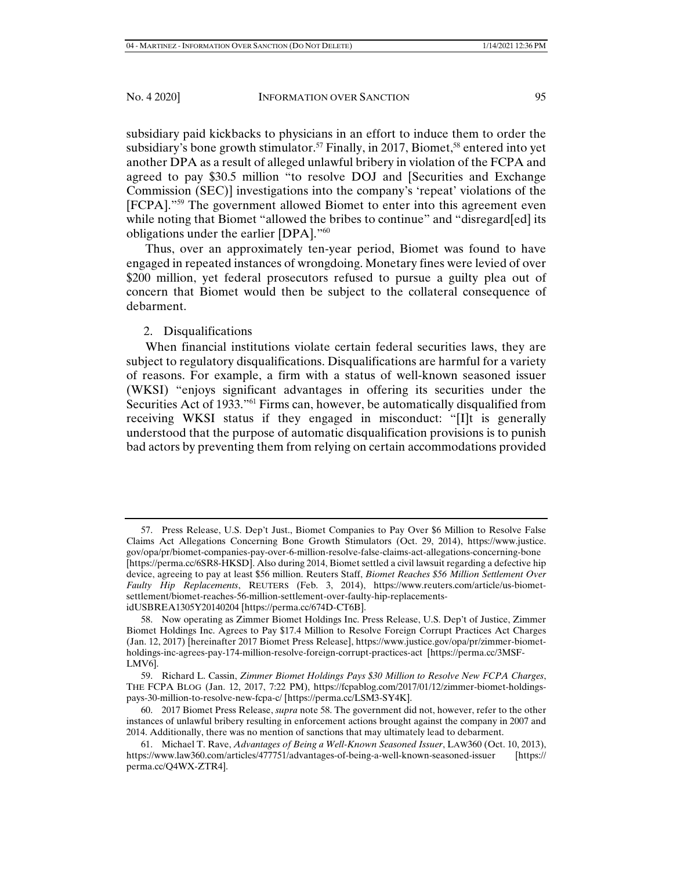subsidiary paid kickbacks to physicians in an effort to induce them to order the subsidiary's bone growth stimulator.<sup>57</sup> Finally, in 2017, Biomet,<sup>58</sup> entered into yet another DPA as a result of alleged unlawful bribery in violation of the FCPA and agreed to pay \$30.5 million "to resolve DOJ and [Securities and Exchange Commission (SEC)] investigations into the company's 'repeat' violations of the [FCPA]."59 The government allowed Biomet to enter into this agreement even while noting that Biomet "allowed the bribes to continue" and "disregard[ed] its obligations under the earlier [DPA]."60

Thus, over an approximately ten-year period, Biomet was found to have engaged in repeated instances of wrongdoing. Monetary fines were levied of over \$200 million, yet federal prosecutors refused to pursue a guilty plea out of concern that Biomet would then be subject to the collateral consequence of debarment.

# 2. Disqualifications

When financial institutions violate certain federal securities laws, they are subject to regulatory disqualifications. Disqualifications are harmful for a variety of reasons. For example, a firm with a status of well-known seasoned issuer (WKSI) "enjoys significant advantages in offering its securities under the Securities Act of 1933.<sup>"61</sup> Firms can, however, be automatically disqualified from receiving WKSI status if they engaged in misconduct: "[I]t is generally understood that the purpose of automatic disqualification provisions is to punish bad actors by preventing them from relying on certain accommodations provided

 <sup>57.</sup> Press Release, U.S. Dep't Just., Biomet Companies to Pay Over \$6 Million to Resolve False Claims Act Allegations Concerning Bone Growth Stimulators (Oct. 29, 2014), https://www.justice. gov/opa/pr/biomet-companies-pay-over-6-million-resolve-false-claims-act-allegations-concerning-bone [https://perma.cc/6SR8-HKSD]. Also during 2014, Biomet settled a civil lawsuit regarding a defective hip device, agreeing to pay at least \$56 million. Reuters Staff, *Biomet Reaches \$56 Million Settlement Over Faulty Hip Replacements*, REUTERS (Feb. 3, 2014), https://www.reuters.com/article/us-biometsettlement/biomet-reaches-56-million-settlement-over-faulty-hip-replacementsidUSBREA1305Y20140204 [https://perma.cc/674D-CT6B].

 <sup>58.</sup> Now operating as Zimmer Biomet Holdings Inc. Press Release, U.S. Dep't of Justice, Zimmer Biomet Holdings Inc. Agrees to Pay \$17.4 Million to Resolve Foreign Corrupt Practices Act Charges (Jan. 12, 2017) [hereinafter 2017 Biomet Press Release], https://www.justice.gov/opa/pr/zimmer-biometholdings-inc-agrees-pay-174-million-resolve-foreign-corrupt-practices-act [https://perma.cc/3MSF-LMV6].

 <sup>59.</sup> Richard L. Cassin, *Zimmer Biomet Holdings Pays \$30 Million to Resolve New FCPA Charges*, THE FCPA BLOG (Jan. 12, 2017, 7:22 PM), https://fcpablog.com/2017/01/12/zimmer-biomet-holdingspays-30-million-to-resolve-new-fcpa-c/ [https://perma.cc/LSM3-SY4K].

 <sup>60. 2017</sup> Biomet Press Release, *supra* note 58. The government did not, however, refer to the other instances of unlawful bribery resulting in enforcement actions brought against the company in 2007 and 2014. Additionally, there was no mention of sanctions that may ultimately lead to debarment.

 <sup>61.</sup> Michael T. Rave, *Advantages of Being a Well-Known Seasoned Issuer*, LAW360 (Oct. 10, 2013), https://www.law360.com/articles/477751/advantages-of-being-a-well-known-seasoned-issuer [https:// perma.cc/Q4WX-ZTR4].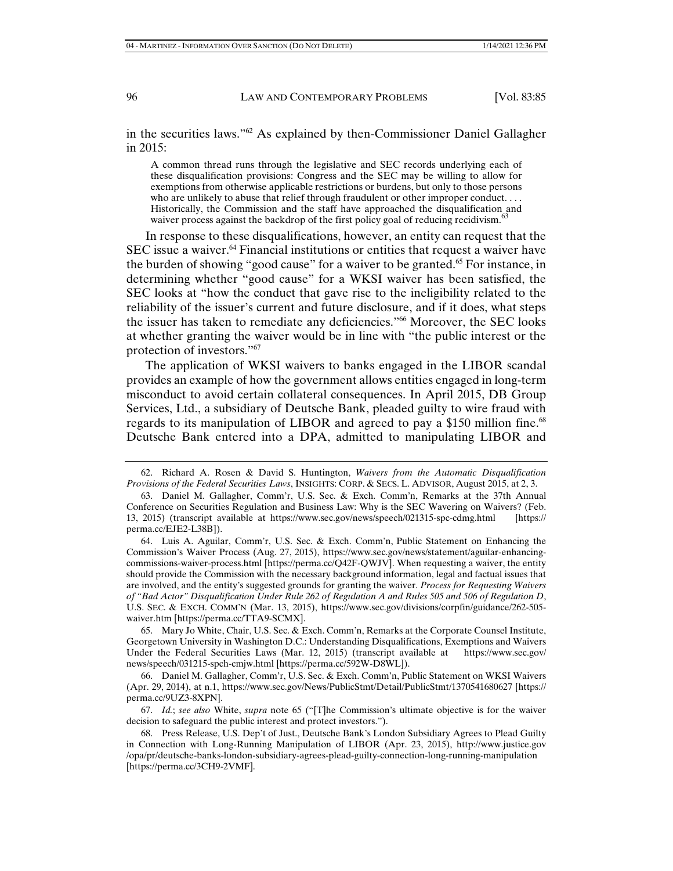in the securities laws."62 As explained by then-Commissioner Daniel Gallagher in 2015:

A common thread runs through the legislative and SEC records underlying each of these disqualification provisions: Congress and the SEC may be willing to allow for exemptions from otherwise applicable restrictions or burdens, but only to those persons who are unlikely to abuse that relief through fraudulent or other improper conduct. . . . Historically, the Commission and the staff have approached the disqualification and waiver process against the backdrop of the first policy goal of reducing recidivism.<sup>63</sup>

In response to these disqualifications, however, an entity can request that the SEC issue a waiver.64 Financial institutions or entities that request a waiver have the burden of showing "good cause" for a waiver to be granted.<sup>65</sup> For instance, in determining whether "good cause" for a WKSI waiver has been satisfied, the SEC looks at "how the conduct that gave rise to the ineligibility related to the reliability of the issuer's current and future disclosure, and if it does, what steps the issuer has taken to remediate any deficiencies."<sup>66</sup> Moreover, the SEC looks at whether granting the waiver would be in line with "the public interest or the protection of investors."67

The application of WKSI waivers to banks engaged in the LIBOR scandal provides an example of how the government allows entities engaged in long-term misconduct to avoid certain collateral consequences. In April 2015, DB Group Services, Ltd., a subsidiary of Deutsche Bank, pleaded guilty to wire fraud with regards to its manipulation of LIBOR and agreed to pay a \$150 million fine.<sup>68</sup> Deutsche Bank entered into a DPA, admitted to manipulating LIBOR and

 <sup>62.</sup> Richard A. Rosen & David S. Huntington, *Waivers from the Automatic Disqualification Provisions of the Federal Securities Laws*, INSIGHTS: CORP. & SECS. L. ADVISOR, August 2015, at 2, 3.

 <sup>63.</sup> Daniel M. Gallagher, Comm'r, U.S. Sec. & Exch. Comm'n, Remarks at the 37th Annual Conference on Securities Regulation and Business Law: Why is the SEC Wavering on Waivers? (Feb. 13, 2015) (transcript available at https://www.sec.gov/news/speech/021315-spc-cdmg.html [https:// perma.cc/EJE2-L38B]).

 <sup>64.</sup> Luis A. Aguilar, Comm'r, U.S. Sec. & Exch. Comm'n, Public Statement on Enhancing the Commission's Waiver Process (Aug. 27, 2015), https://www.sec.gov/news/statement/aguilar-enhancingcommissions-waiver-process.html [https://perma.cc/Q42F-QWJV]. When requesting a waiver, the entity should provide the Commission with the necessary background information, legal and factual issues that are involved, and the entity's suggested grounds for granting the waiver. *Process for Requesting Waivers of "Bad Actor" Disqualification Under Rule 262 of Regulation A and Rules 505 and 506 of Regulation D*, U.S. SEC. & EXCH. COMM'N (Mar. 13, 2015), https://www.sec.gov/divisions/corpfin/guidance/262-505 waiver.htm [https://perma.cc/TTA9-SCMX].

 <sup>65.</sup> Mary Jo White, Chair, U.S. Sec. & Exch. Comm'n, Remarks at the Corporate Counsel Institute, Georgetown University in Washington D.C.: Understanding Disqualifications, Exemptions and Waivers Under the Federal Securities Laws (Mar. 12, 2015) (transcript available at https://www.sec.gov/ news/speech/031215-spch-cmjw.html [https://perma.cc/592W-D8WL]).

 <sup>66.</sup> Daniel M. Gallagher, Comm'r, U.S. Sec. & Exch. Comm'n, Public Statement on WKSI Waivers (Apr. 29, 2014), at n.1, https://www.sec.gov/News/PublicStmt/Detail/PublicStmt/1370541680627 [https:// perma.cc/9UZ3-8XPN].

 <sup>67.</sup> *Id.*; *see also* White, *supra* note 65 ("[T]he Commission's ultimate objective is for the waiver decision to safeguard the public interest and protect investors.").

 <sup>68.</sup> Press Release, U.S. Dep't of Just., Deutsche Bank's London Subsidiary Agrees to Plead Guilty in Connection with Long-Running Manipulation of LIBOR (Apr. 23, 2015), http://www.justice.gov /opa/pr/deutsche-banks-london-subsidiary-agrees-plead-guilty-connection-long-running-manipulation [https://perma.cc/3CH9-2VMF].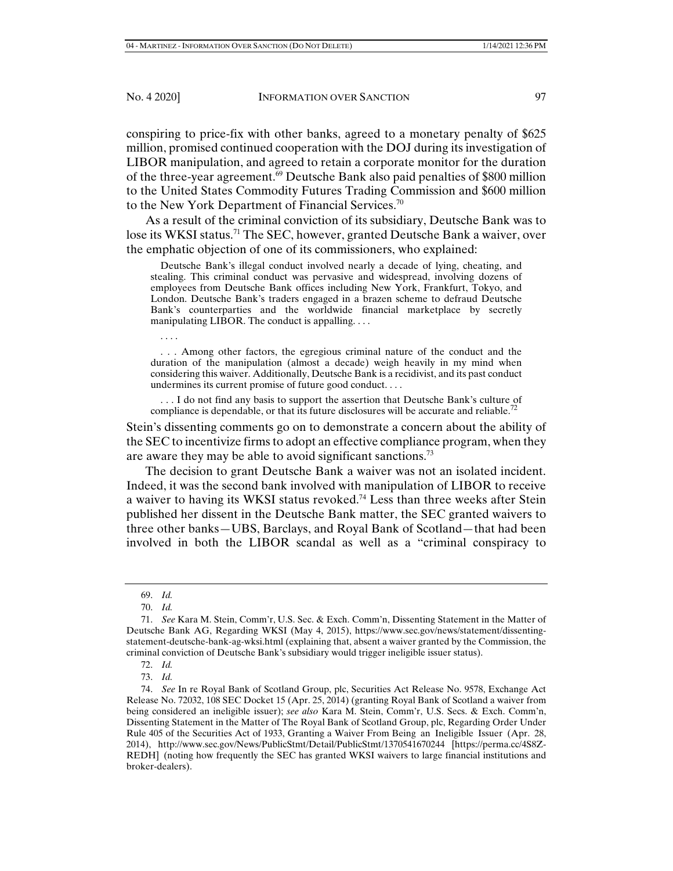conspiring to price-fix with other banks, agreed to a monetary penalty of \$625 million, promised continued cooperation with the DOJ during its investigation of LIBOR manipulation, and agreed to retain a corporate monitor for the duration of the three-year agreement.69 Deutsche Bank also paid penalties of \$800 million to the United States Commodity Futures Trading Commission and \$600 million to the New York Department of Financial Services.<sup>70</sup>

As a result of the criminal conviction of its subsidiary, Deutsche Bank was to lose its WKSI status.<sup>71</sup> The SEC, however, granted Deutsche Bank a waiver, over the emphatic objection of one of its commissioners, who explained:

 Deutsche Bank's illegal conduct involved nearly a decade of lying, cheating, and stealing. This criminal conduct was pervasive and widespread, involving dozens of employees from Deutsche Bank offices including New York, Frankfurt, Tokyo, and London. Deutsche Bank's traders engaged in a brazen scheme to defraud Deutsche Bank's counterparties and the worldwide financial marketplace by secretly manipulating LIBOR. The conduct is appalling.  $\dots$ 

. . . .

 . . . Among other factors, the egregious criminal nature of the conduct and the duration of the manipulation (almost a decade) weigh heavily in my mind when considering this waiver. Additionally, Deutsche Bank is a recidivist, and its past conduct undermines its current promise of future good conduct. . . .

 . . . I do not find any basis to support the assertion that Deutsche Bank's culture of compliance is dependable, or that its future disclosures will be accurate and reliable.<sup>72</sup>

Stein's dissenting comments go on to demonstrate a concern about the ability of the SEC to incentivize firms to adopt an effective compliance program, when they are aware they may be able to avoid significant sanctions.<sup>73</sup>

The decision to grant Deutsche Bank a waiver was not an isolated incident. Indeed, it was the second bank involved with manipulation of LIBOR to receive a waiver to having its WKSI status revoked.74 Less than three weeks after Stein published her dissent in the Deutsche Bank matter, the SEC granted waivers to three other banks—UBS, Barclays, and Royal Bank of Scotland—that had been involved in both the LIBOR scandal as well as a "criminal conspiracy to

 <sup>69.</sup> *Id.*

 <sup>70.</sup> *Id.*

 <sup>71.</sup> *See* Kara M. Stein, Comm'r, U.S. Sec. & Exch. Comm'n, Dissenting Statement in the Matter of Deutsche Bank AG, Regarding WKSI (May 4, 2015), https://www.sec.gov/news/statement/dissentingstatement-deutsche-bank-ag-wksi.html (explaining that, absent a waiver granted by the Commission, the criminal conviction of Deutsche Bank's subsidiary would trigger ineligible issuer status).

 <sup>72.</sup> *Id.*

 <sup>73.</sup> *Id.* 

 <sup>74.</sup> *See* In re Royal Bank of Scotland Group, plc, Securities Act Release No. 9578, Exchange Act Release No. 72032, 108 SEC Docket 15 (Apr. 25, 2014) (granting Royal Bank of Scotland a waiver from being considered an ineligible issuer); *see also* Kara M. Stein, Comm'r, U.S. Secs. & Exch. Comm'n, Dissenting Statement in the Matter of The Royal Bank of Scotland Group, plc, Regarding Order Under Rule 405 of the Securities Act of 1933, Granting a Waiver From Being an Ineligible Issuer (Apr. 28, 2014), http://www.sec.gov/News/PublicStmt/Detail/PublicStmt/1370541670244 [https://perma.cc/4S8Z-REDH] (noting how frequently the SEC has granted WKSI waivers to large financial institutions and broker-dealers).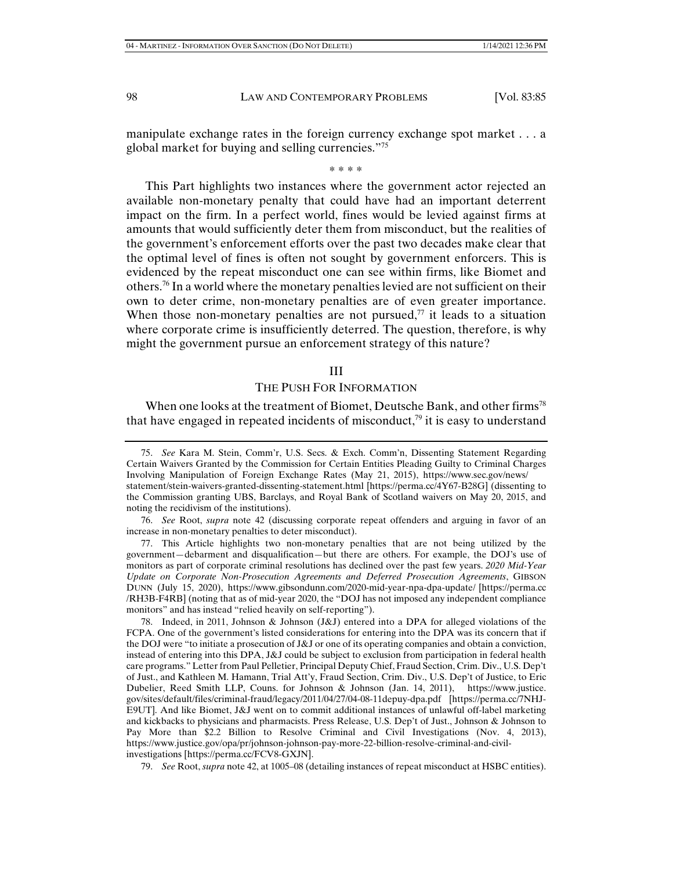manipulate exchange rates in the foreign currency exchange spot market . . . a global market for buying and selling currencies."75

\* \* \* \*

This Part highlights two instances where the government actor rejected an available non-monetary penalty that could have had an important deterrent impact on the firm. In a perfect world, fines would be levied against firms at amounts that would sufficiently deter them from misconduct, but the realities of the government's enforcement efforts over the past two decades make clear that the optimal level of fines is often not sought by government enforcers. This is evidenced by the repeat misconduct one can see within firms, like Biomet and others.76 In a world where the monetary penalties levied are not sufficient on their own to deter crime, non-monetary penalties are of even greater importance. When those non-monetary penalties are not pursued, $\frac{7}{7}$  it leads to a situation where corporate crime is insufficiently deterred. The question, therefore, is why might the government pursue an enforcement strategy of this nature?

## III

THE PUSH FOR INFORMATION

When one looks at the treatment of Biomet, Deutsche Bank, and other firms<sup>78</sup> that have engaged in repeated incidents of misconduct, $79$  it is easy to understand

 76. *See* Root, *supra* note 42 (discussing corporate repeat offenders and arguing in favor of an increase in non-monetary penalties to deter misconduct).

 77. This Article highlights two non-monetary penalties that are not being utilized by the government—debarment and disqualification—but there are others. For example, the DOJ's use of monitors as part of corporate criminal resolutions has declined over the past few years. *2020 Mid-Year Update on Corporate Non-Prosecution Agreements and Deferred Prosecution Agreements*, GIBSON DUNN (July 15, 2020), https://www.gibsondunn.com/2020-mid-year-npa-dpa-update/ [https://perma.cc /RH3B-F4RB] (noting that as of mid-year 2020, the "DOJ has not imposed any independent compliance monitors" and has instead "relied heavily on self-reporting").

 78. Indeed, in 2011, Johnson & Johnson (J&J) entered into a DPA for alleged violations of the FCPA. One of the government's listed considerations for entering into the DPA was its concern that if the DOJ were "to initiate a prosecution of J&J or one of its operating companies and obtain a conviction, instead of entering into this DPA, J&J could be subject to exclusion from participation in federal health care programs." Letter from Paul Pelletier, Principal Deputy Chief, Fraud Section, Crim. Div., U.S. Dep't of Just., and Kathleen M. Hamann, Trial Att'y, Fraud Section, Crim. Div., U.S. Dep't of Justice, to Eric Dubelier, Reed Smith LLP, Couns. for Johnson & Johnson (Jan. 14, 2011), https://www.justice. gov/sites/default/files/criminal-fraud/legacy/2011/04/27/04-08-11depuy-dpa.pdf [https://perma.cc/7NHJ-E9UT]. And like Biomet, J&J went on to commit additional instances of unlawful off-label marketing and kickbacks to physicians and pharmacists. Press Release, U.S. Dep't of Just., Johnson & Johnson to Pay More than \$2.2 Billion to Resolve Criminal and Civil Investigations (Nov. 4, 2013), https://www.justice.gov/opa/pr/johnson-johnson-pay-more-22-billion-resolve-criminal-and-civilinvestigations [https://perma.cc/FCV8-GXJN].

79. *See* Root, *supra* note 42, at 1005–08 (detailing instances of repeat misconduct at HSBC entities).

 <sup>75.</sup> *See* Kara M. Stein, Comm'r, U.S. Secs. & Exch. Comm'n, Dissenting Statement Regarding Certain Waivers Granted by the Commission for Certain Entities Pleading Guilty to Criminal Charges Involving Manipulation of Foreign Exchange Rates (May 21, 2015), https://www.sec.gov/news/ statement/stein-waivers-granted-dissenting-statement.html [https://perma.cc/4Y67-B28G] (dissenting to the Commission granting UBS, Barclays, and Royal Bank of Scotland waivers on May 20, 2015, and noting the recidivism of the institutions).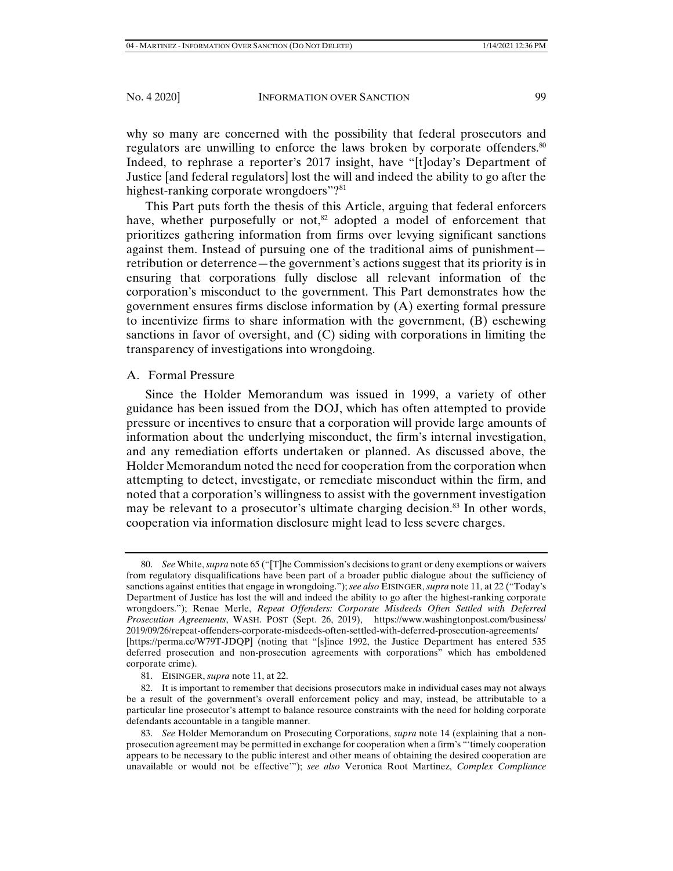why so many are concerned with the possibility that federal prosecutors and regulators are unwilling to enforce the laws broken by corporate offenders.<sup>80</sup> Indeed, to rephrase a reporter's 2017 insight, have "[t]oday's Department of Justice [and federal regulators] lost the will and indeed the ability to go after the highest-ranking corporate wrongdoers"?<sup>81</sup>

This Part puts forth the thesis of this Article, arguing that federal enforcers have, whether purposefully or not,<sup>82</sup> adopted a model of enforcement that prioritizes gathering information from firms over levying significant sanctions against them. Instead of pursuing one of the traditional aims of punishment retribution or deterrence—the government's actions suggest that its priority is in ensuring that corporations fully disclose all relevant information of the corporation's misconduct to the government. This Part demonstrates how the government ensures firms disclose information by (A) exerting formal pressure to incentivize firms to share information with the government, (B) eschewing sanctions in favor of oversight, and (C) siding with corporations in limiting the transparency of investigations into wrongdoing.

# A. Formal Pressure

Since the Holder Memorandum was issued in 1999, a variety of other guidance has been issued from the DOJ, which has often attempted to provide pressure or incentives to ensure that a corporation will provide large amounts of information about the underlying misconduct, the firm's internal investigation, and any remediation efforts undertaken or planned. As discussed above, the Holder Memorandum noted the need for cooperation from the corporation when attempting to detect, investigate, or remediate misconduct within the firm, and noted that a corporation's willingness to assist with the government investigation may be relevant to a prosecutor's ultimate charging decision.<sup>83</sup> In other words, cooperation via information disclosure might lead to less severe charges.

 <sup>80.</sup> *See* White, *supra* note 65 ("[T]he Commission's decisions to grant or deny exemptions or waivers from regulatory disqualifications have been part of a broader public dialogue about the sufficiency of sanctions against entities that engage in wrongdoing."); *see also* EISINGER, *supra* note 11, at 22 ("Today's Department of Justice has lost the will and indeed the ability to go after the highest-ranking corporate wrongdoers."); Renae Merle, *Repeat Offenders: Corporate Misdeeds Often Settled with Deferred Prosecution Agreements*, WASH. POST (Sept. 26, 2019), https://www.washingtonpost.com/business/ 2019/09/26/repeat-offenders-corporate-misdeeds-often-settled-with-deferred-prosecution-agreements/ [https://perma.cc/W79T-JDQP] (noting that "[s]ince 1992, the Justice Department has entered 535 deferred prosecution and non-prosecution agreements with corporations" which has emboldened corporate crime).

 <sup>81.</sup> EISINGER, *supra* note 11, at 22.

 <sup>82.</sup> It is important to remember that decisions prosecutors make in individual cases may not always be a result of the government's overall enforcement policy and may, instead, be attributable to a particular line prosecutor's attempt to balance resource constraints with the need for holding corporate defendants accountable in a tangible manner.

 <sup>83.</sup> *See* Holder Memorandum on Prosecuting Corporations, *supra* note 14 (explaining that a nonprosecution agreement may be permitted in exchange for cooperation when a firm's "'timely cooperation appears to be necessary to the public interest and other means of obtaining the desired cooperation are unavailable or would not be effective'"); *see also* Veronica Root Martinez, *Complex Compliance*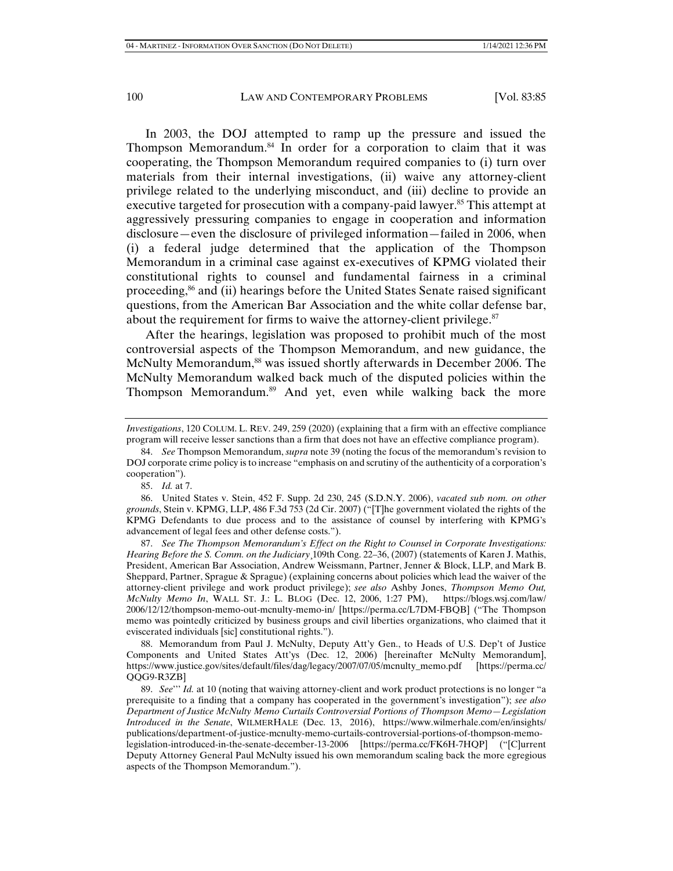In 2003, the DOJ attempted to ramp up the pressure and issued the Thompson Memorandum.84 In order for a corporation to claim that it was cooperating, the Thompson Memorandum required companies to (i) turn over materials from their internal investigations, (ii) waive any attorney-client privilege related to the underlying misconduct, and (iii) decline to provide an executive targeted for prosecution with a company-paid lawyer.<sup>85</sup> This attempt at aggressively pressuring companies to engage in cooperation and information disclosure—even the disclosure of privileged information—failed in 2006, when (i) a federal judge determined that the application of the Thompson Memorandum in a criminal case against ex-executives of KPMG violated their constitutional rights to counsel and fundamental fairness in a criminal proceeding,<sup>86</sup> and (ii) hearings before the United States Senate raised significant questions, from the American Bar Association and the white collar defense bar, about the requirement for firms to waive the attorney-client privilege.<sup>87</sup>

After the hearings, legislation was proposed to prohibit much of the most controversial aspects of the Thompson Memorandum, and new guidance, the McNulty Memorandum,<sup>88</sup> was issued shortly afterwards in December 2006. The McNulty Memorandum walked back much of the disputed policies within the Thompson Memorandum.89 And yet, even while walking back the more

85. *Id.* at 7.

 86. United States v. Stein, 452 F. Supp. 2d 230, 245 (S.D.N.Y. 2006), *vacated sub nom. on other grounds*, Stein v. KPMG, LLP, 486 F.3d 753 (2d Cir. 2007) ("[T]he government violated the rights of the KPMG Defendants to due process and to the assistance of counsel by interfering with KPMG's advancement of legal fees and other defense costs.").

 87. *See The Thompson Memorandum's Effect on the Right to Counsel in Corporate Investigations: Hearing Before the S. Comm. on the Judiciary*¸109th Cong. 22–36, (2007) (statements of Karen J. Mathis, President, American Bar Association, Andrew Weissmann, Partner, Jenner & Block, LLP, and Mark B. Sheppard, Partner, Sprague & Sprague) (explaining concerns about policies which lead the waiver of the attorney-client privilege and work product privilege); *see also* Ashby Jones, *Thompson Memo Out, McNulty Memo In*, WALL ST. J.: L. BLOG (Dec. 12, 2006, 1:27 PM), https://blogs.wsj.com/law/ 2006/12/12/thompson-memo-out-mcnulty-memo-in/ [https://perma.cc/L7DM-FBQB] ("The Thompson memo was pointedly criticized by business groups and civil liberties organizations, who claimed that it eviscerated individuals [sic] constitutional rights.").

 88. Memorandum from Paul J. McNulty, Deputy Att'y Gen., to Heads of U.S. Dep't of Justice Components and United States Att'ys (Dec. 12, 2006) [hereinafter McNulty Memorandum], https://www.justice.gov/sites/default/files/dag/legacy/2007/07/05/mcnulty\_memo.pdf [https://perma.cc/ QQG9-R3ZB]

 89. *See*''' *Id.* at 10 (noting that waiving attorney-client and work product protections is no longer "a prerequisite to a finding that a company has cooperated in the government's investigation"); *see also Department of Justice McNulty Memo Curtails Controversial Portions of Thompson Memo—Legislation Introduced in the Senate*, WILMERHALE (Dec. 13, 2016), https://www.wilmerhale.com/en/insights/ publications/department-of-justice-mcnulty-memo-curtails-controversial-portions-of-thompson-memolegislation-introduced-in-the-senate-december-13-2006 [https://perma.cc/FK6H-7HQP] ("[C]urrent Deputy Attorney General Paul McNulty issued his own memorandum scaling back the more egregious aspects of the Thompson Memorandum.").

*Investigations*, 120 COLUM. L. REV. 249, 259 (2020) (explaining that a firm with an effective compliance program will receive lesser sanctions than a firm that does not have an effective compliance program).

 <sup>84.</sup> *See* Thompson Memorandum, *supra* note 39 (noting the focus of the memorandum's revision to DOJ corporate crime policy is to increase "emphasis on and scrutiny of the authenticity of a corporation's cooperation").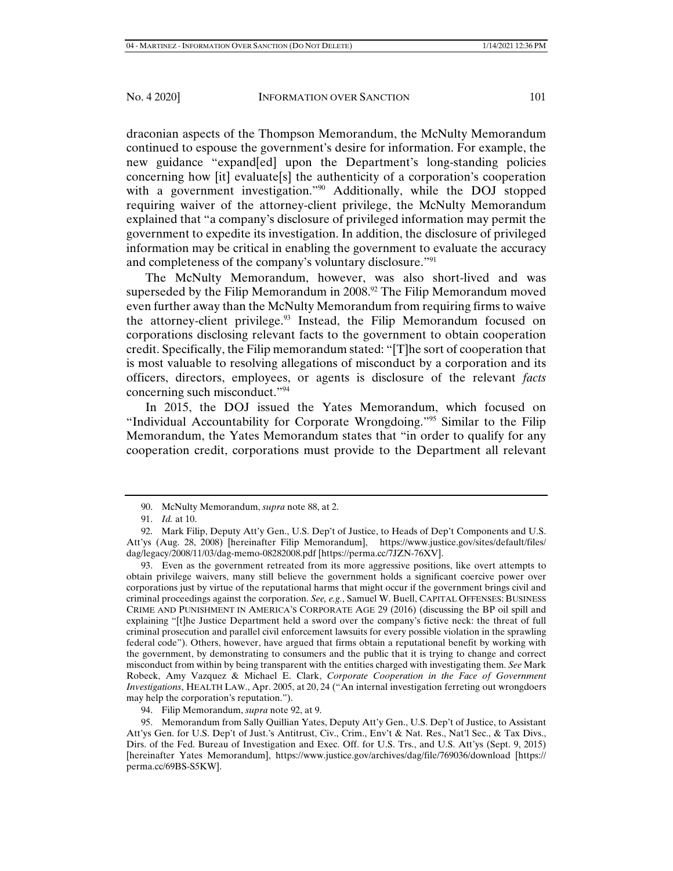draconian aspects of the Thompson Memorandum, the McNulty Memorandum continued to espouse the government's desire for information. For example, the new guidance "expand[ed] upon the Department's long-standing policies concerning how [it] evaluate[s] the authenticity of a corporation's cooperation with a government investigation."<sup>90</sup> Additionally, while the DOJ stopped requiring waiver of the attorney-client privilege, the McNulty Memorandum explained that "a company's disclosure of privileged information may permit the government to expedite its investigation. In addition, the disclosure of privileged information may be critical in enabling the government to evaluate the accuracy and completeness of the company's voluntary disclosure."<sup>91</sup>

The McNulty Memorandum, however, was also short-lived and was superseded by the Filip Memorandum in 2008.<sup>92</sup> The Filip Memorandum moved even further away than the McNulty Memorandum from requiring firms to waive the attorney-client privilege. $93$  Instead, the Filip Memorandum focused on corporations disclosing relevant facts to the government to obtain cooperation credit. Specifically, the Filip memorandum stated: "[T]he sort of cooperation that is most valuable to resolving allegations of misconduct by a corporation and its officers, directors, employees, or agents is disclosure of the relevant *facts*  concerning such misconduct."94

In 2015, the DOJ issued the Yates Memorandum, which focused on "Individual Accountability for Corporate Wrongdoing."95 Similar to the Filip Memorandum, the Yates Memorandum states that "in order to qualify for any cooperation credit, corporations must provide to the Department all relevant

 <sup>90.</sup> McNulty Memorandum, *supra* note 88, at 2.

 <sup>91.</sup> *Id.* at 10.

 <sup>92.</sup> Mark Filip, Deputy Att'y Gen., U.S. Dep't of Justice, to Heads of Dep't Components and U.S. Att'ys (Aug. 28, 2008) [hereinafter Filip Memorandum], https://www.justice.gov/sites/default/files/ dag/legacy/2008/11/03/dag-memo-08282008.pdf [https://perma.cc/7JZN-76XV].

 <sup>93.</sup> Even as the government retreated from its more aggressive positions, like overt attempts to obtain privilege waivers, many still believe the government holds a significant coercive power over corporations just by virtue of the reputational harms that might occur if the government brings civil and criminal proceedings against the corporation. *See, e.g.*, Samuel W. Buell, CAPITAL OFFENSES: BUSINESS CRIME AND PUNISHMENT IN AMERICA'S CORPORATE AGE 29 (2016) (discussing the BP oil spill and explaining "[t]he Justice Department held a sword over the company's fictive neck: the threat of full criminal prosecution and parallel civil enforcement lawsuits for every possible violation in the sprawling federal code"). Others, however, have argued that firms obtain a reputational benefit by working with the government, by demonstrating to consumers and the public that it is trying to change and correct misconduct from within by being transparent with the entities charged with investigating them. *See* Mark Robeck, Amy Vazquez & Michael E. Clark, *Corporate Cooperation in the Face of Government Investigations*, HEALTH LAW., Apr. 2005, at 20, 24 ("An internal investigation ferreting out wrongdoers may help the corporation's reputation.").

 <sup>94.</sup> Filip Memorandum, *supra* note 92, at 9.

 <sup>95.</sup> Memorandum from Sally Quillian Yates, Deputy Att'y Gen., U.S. Dep't of Justice, to Assistant Att'ys Gen. for U.S. Dep't of Just.'s Antitrust, Civ., Crim., Env't & Nat. Res., Nat'l Sec., & Tax Divs., Dirs. of the Fed. Bureau of Investigation and Exec. Off. for U.S. Trs., and U.S. Att'ys (Sept. 9, 2015) [hereinafter Yates Memorandum], https://www.justice.gov/archives/dag/file/769036/download [https:// perma.cc/69BS-S5KW].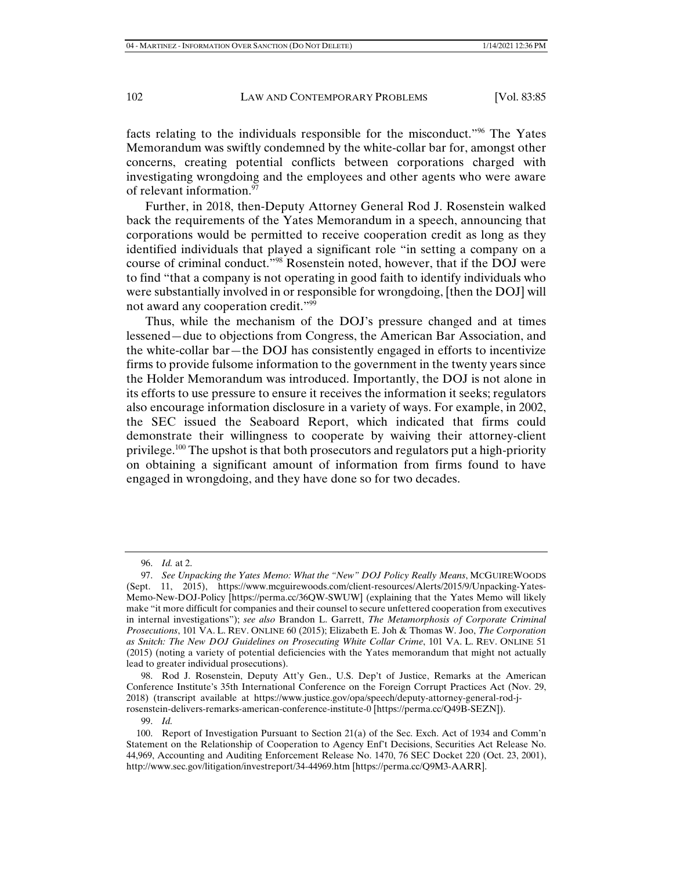facts relating to the individuals responsible for the misconduct."96 The Yates Memorandum was swiftly condemned by the white-collar bar for, amongst other concerns, creating potential conflicts between corporations charged with investigating wrongdoing and the employees and other agents who were aware of relevant information.<sup>97</sup>

Further, in 2018, then-Deputy Attorney General Rod J. Rosenstein walked back the requirements of the Yates Memorandum in a speech, announcing that corporations would be permitted to receive cooperation credit as long as they identified individuals that played a significant role "in setting a company on a course of criminal conduct."98 Rosenstein noted, however, that if the DOJ were to find "that a company is not operating in good faith to identify individuals who were substantially involved in or responsible for wrongdoing, [then the DOJ] will not award any cooperation credit."99

Thus, while the mechanism of the DOJ's pressure changed and at times lessened—due to objections from Congress, the American Bar Association, and the white-collar bar—the DOJ has consistently engaged in efforts to incentivize firms to provide fulsome information to the government in the twenty years since the Holder Memorandum was introduced. Importantly, the DOJ is not alone in its efforts to use pressure to ensure it receives the information it seeks; regulators also encourage information disclosure in a variety of ways. For example, in 2002, the SEC issued the Seaboard Report, which indicated that firms could demonstrate their willingness to cooperate by waiving their attorney-client privilege.<sup>100</sup> The upshot is that both prosecutors and regulators put a high-priority on obtaining a significant amount of information from firms found to have engaged in wrongdoing, and they have done so for two decades.

 98. Rod J. Rosenstein, Deputy Att'y Gen., U.S. Dep't of Justice, Remarks at the American Conference Institute's 35th International Conference on the Foreign Corrupt Practices Act (Nov. 29, 2018) (transcript available at https://www.justice.gov/opa/speech/deputy-attorney-general-rod-jrosenstein-delivers-remarks-american-conference-institute-0 [https://perma.cc/Q49B-SEZN]).

99. *Id.* 

 <sup>96.</sup> *Id.* at 2.

 <sup>97.</sup> *See Unpacking the Yates Memo: What the "New" DOJ Policy Really Means*, MCGUIREWOODS (Sept. 11, 2015), https://www.mcguirewoods.com/client-resources/Alerts/2015/9/Unpacking-Yates-Memo-New-DOJ-Policy [https://perma.cc/36QW-SWUW] (explaining that the Yates Memo will likely make "it more difficult for companies and their counsel to secure unfettered cooperation from executives in internal investigations"); *see also* Brandon L. Garrett, *The Metamorphosis of Corporate Criminal Prosecutions*, 101 VA. L. REV. ONLINE 60 (2015); Elizabeth E. Joh & Thomas W. Joo, *The Corporation as Snitch: The New DOJ Guidelines on Prosecuting White Collar Crime*, 101 VA. L. REV. ONLINE 51 (2015) (noting a variety of potential deficiencies with the Yates memorandum that might not actually lead to greater individual prosecutions).

 <sup>100.</sup> Report of Investigation Pursuant to Section 21(a) of the Sec. Exch. Act of 1934 and Comm'n Statement on the Relationship of Cooperation to Agency Enf't Decisions, Securities Act Release No. 44,969, Accounting and Auditing Enforcement Release No. 1470, 76 SEC Docket 220 (Oct. 23, 2001), http://www.sec.gov/litigation/investreport/34-44969.htm [https://perma.cc/Q9M3-AARR].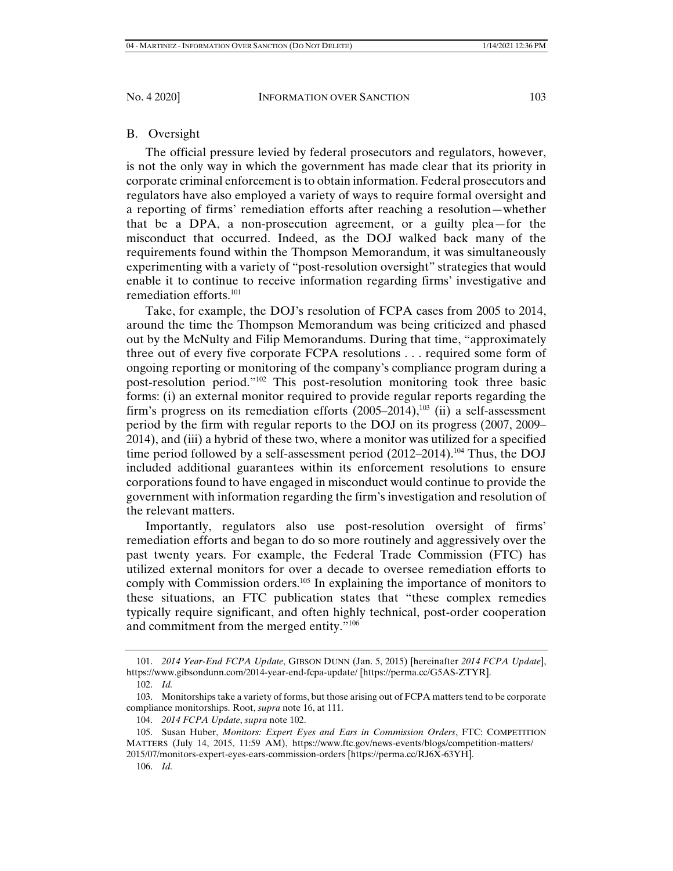## B. Oversight

The official pressure levied by federal prosecutors and regulators, however, is not the only way in which the government has made clear that its priority in corporate criminal enforcement is to obtain information. Federal prosecutors and regulators have also employed a variety of ways to require formal oversight and a reporting of firms' remediation efforts after reaching a resolution—whether that be a DPA, a non-prosecution agreement, or a guilty plea—for the misconduct that occurred. Indeed, as the DOJ walked back many of the requirements found within the Thompson Memorandum, it was simultaneously experimenting with a variety of "post-resolution oversight" strategies that would enable it to continue to receive information regarding firms' investigative and remediation efforts. $101$ 

Take, for example, the DOJ's resolution of FCPA cases from 2005 to 2014, around the time the Thompson Memorandum was being criticized and phased out by the McNulty and Filip Memorandums. During that time, "approximately three out of every five corporate FCPA resolutions . . . required some form of ongoing reporting or monitoring of the company's compliance program during a post-resolution period."102 This post-resolution monitoring took three basic forms: (i) an external monitor required to provide regular reports regarding the firm's progress on its remediation efforts  $(2005-2014)$ ,<sup>103</sup> (ii) a self-assessment period by the firm with regular reports to the DOJ on its progress (2007, 2009– 2014), and (iii) a hybrid of these two, where a monitor was utilized for a specified time period followed by a self-assessment period  $(2012–2014).$ <sup>104</sup> Thus, the DOJ included additional guarantees within its enforcement resolutions to ensure corporations found to have engaged in misconduct would continue to provide the government with information regarding the firm's investigation and resolution of the relevant matters.

Importantly, regulators also use post-resolution oversight of firms' remediation efforts and began to do so more routinely and aggressively over the past twenty years. For example, the Federal Trade Commission (FTC) has utilized external monitors for over a decade to oversee remediation efforts to comply with Commission orders.<sup>105</sup> In explaining the importance of monitors to these situations, an FTC publication states that "these complex remedies typically require significant, and often highly technical, post-order cooperation and commitment from the merged entity."106

 <sup>101.</sup> *2014 Year-End FCPA Update*, GIBSON DUNN (Jan. 5, 2015) [hereinafter *2014 FCPA Update*], https://www.gibsondunn.com/2014-year-end-fcpa-update/ [https://perma.cc/G5AS-ZTYR].

 <sup>102.</sup> *Id.*

 <sup>103.</sup> Monitorships take a variety of forms, but those arising out of FCPA matters tend to be corporate compliance monitorships. Root, *supra* note 16, at 111.

 <sup>104.</sup> *2014 FCPA Update*, *supra* note 102.

 <sup>105.</sup> Susan Huber, *Monitors: Expert Eyes and Ears in Commission Orders*, FTC: COMPETITION MATTERS (July 14, 2015, 11:59 AM), https://www.ftc.gov/news-events/blogs/competition-matters/ 2015/07/monitors-expert-eyes-ears-commission-orders [https://perma.cc/RJ6X-63YH].

 <sup>106.</sup> *Id.*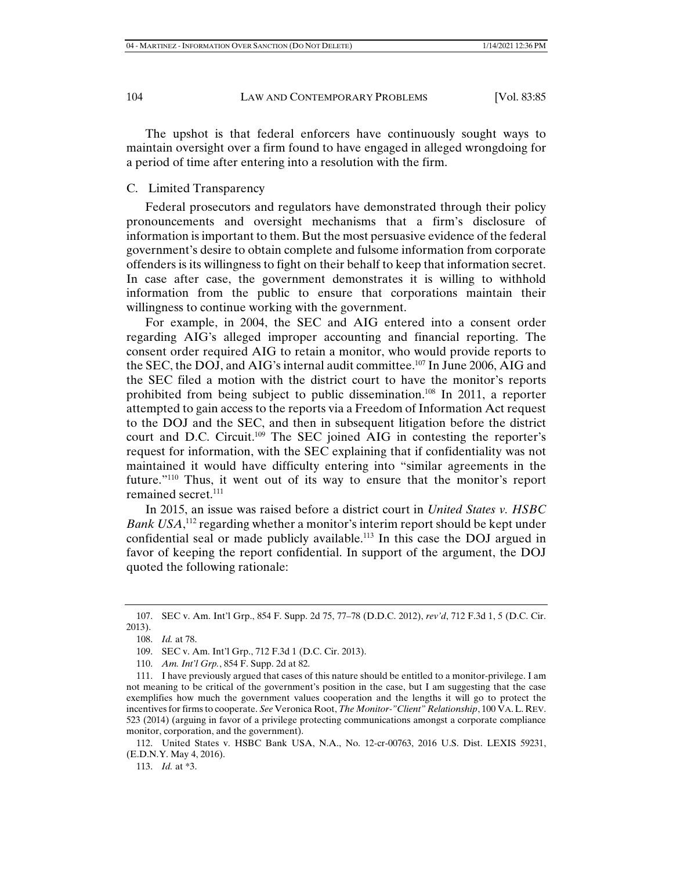The upshot is that federal enforcers have continuously sought ways to maintain oversight over a firm found to have engaged in alleged wrongdoing for a period of time after entering into a resolution with the firm.

## C. Limited Transparency

Federal prosecutors and regulators have demonstrated through their policy pronouncements and oversight mechanisms that a firm's disclosure of information is important to them. But the most persuasive evidence of the federal government's desire to obtain complete and fulsome information from corporate offenders is its willingness to fight on their behalf to keep that information secret. In case after case, the government demonstrates it is willing to withhold information from the public to ensure that corporations maintain their willingness to continue working with the government.

For example, in 2004, the SEC and AIG entered into a consent order regarding AIG's alleged improper accounting and financial reporting. The consent order required AIG to retain a monitor, who would provide reports to the SEC, the DOJ, and AIG's internal audit committee.107 In June 2006, AIG and the SEC filed a motion with the district court to have the monitor's reports prohibited from being subject to public dissemination.108 In 2011, a reporter attempted to gain access to the reports via a Freedom of Information Act request to the DOJ and the SEC, and then in subsequent litigation before the district court and D.C. Circuit.<sup>109</sup> The SEC joined AIG in contesting the reporter's request for information, with the SEC explaining that if confidentiality was not maintained it would have difficulty entering into "similar agreements in the future."110 Thus, it went out of its way to ensure that the monitor's report remained secret.<sup>111</sup>

In 2015, an issue was raised before a district court in *United States v. HSBC*  Bank USA,<sup>112</sup> regarding whether a monitor's interim report should be kept under confidential seal or made publicly available.<sup>113</sup> In this case the DOJ argued in favor of keeping the report confidential. In support of the argument, the DOJ quoted the following rationale:

113. *Id.* at \*3.

 <sup>107.</sup> SEC v. Am. Int'l Grp., 854 F. Supp. 2d 75, 77–78 (D.D.C. 2012), *rev'd*, 712 F.3d 1, 5 (D.C. Cir. 2013).

 <sup>108.</sup> *Id.* at 78.

 <sup>109.</sup> SEC v. Am. Int'l Grp., 712 F.3d 1 (D.C. Cir. 2013).

 <sup>110.</sup> *Am. Int'l Grp.*, 854 F. Supp. 2d at 82.

 <sup>111.</sup> I have previously argued that cases of this nature should be entitled to a monitor-privilege. I am not meaning to be critical of the government's position in the case, but I am suggesting that the case exemplifies how much the government values cooperation and the lengths it will go to protect the incentives for firms to cooperate. *See* Veronica Root, *The Monitor-"Client" Relationship*, 100 VA.L. REV. 523 (2014) (arguing in favor of a privilege protecting communications amongst a corporate compliance monitor, corporation, and the government).

 <sup>112.</sup> United States v. HSBC Bank USA, N.A., No. 12-cr-00763, 2016 U.S. Dist. LEXIS 59231, (E.D.N.Y. May 4, 2016).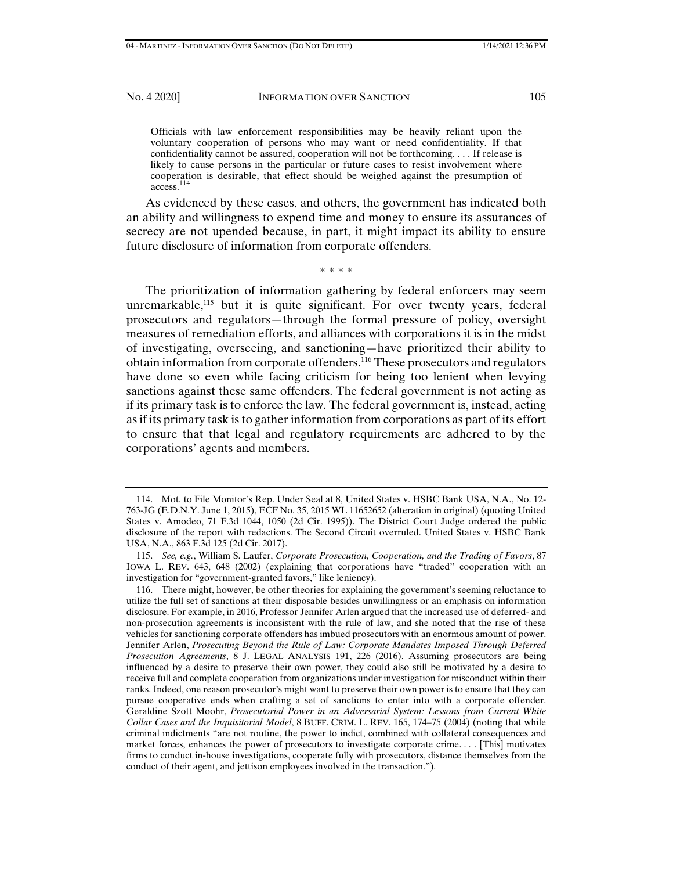Officials with law enforcement responsibilities may be heavily reliant upon the voluntary cooperation of persons who may want or need confidentiality. If that confidentiality cannot be assured, cooperation will not be forthcoming. . . . If release is likely to cause persons in the particular or future cases to resist involvement where cooperation is desirable, that effect should be weighed against the presumption of access.114

As evidenced by these cases, and others, the government has indicated both an ability and willingness to expend time and money to ensure its assurances of secrecy are not upended because, in part, it might impact its ability to ensure future disclosure of information from corporate offenders.

\* \* \* \*

The prioritization of information gathering by federal enforcers may seem unremarkable,<sup>115</sup> but it is quite significant. For over twenty years, federal prosecutors and regulators—through the formal pressure of policy, oversight measures of remediation efforts, and alliances with corporations it is in the midst of investigating, overseeing, and sanctioning—have prioritized their ability to obtain information from corporate offenders.116 These prosecutors and regulators have done so even while facing criticism for being too lenient when levying sanctions against these same offenders. The federal government is not acting as if its primary task is to enforce the law. The federal government is, instead, acting as if its primary task is to gather information from corporations as part of its effort to ensure that that legal and regulatory requirements are adhered to by the corporations' agents and members.

 <sup>114.</sup> Mot. to File Monitor's Rep. Under Seal at 8, United States v. HSBC Bank USA, N.A., No. 12- 763-JG (E.D.N.Y. June 1, 2015), ECF No. 35, 2015 WL 11652652 (alteration in original) (quoting United States v. Amodeo, 71 F.3d 1044, 1050 (2d Cir. 1995)). The District Court Judge ordered the public disclosure of the report with redactions. The Second Circuit overruled. United States v. HSBC Bank USA, N.A., 863 F.3d 125 (2d Cir. 2017).

 <sup>115.</sup> *See, e.g.*, William S. Laufer, *Corporate Prosecution, Cooperation, and the Trading of Favors*, 87 IOWA L. REV. 643, 648 (2002) (explaining that corporations have "traded" cooperation with an investigation for "government-granted favors," like leniency).

 <sup>116.</sup> There might, however, be other theories for explaining the government's seeming reluctance to utilize the full set of sanctions at their disposable besides unwillingness or an emphasis on information disclosure. For example, in 2016, Professor Jennifer Arlen argued that the increased use of deferred- and non-prosecution agreements is inconsistent with the rule of law, and she noted that the rise of these vehicles for sanctioning corporate offenders has imbued prosecutors with an enormous amount of power. Jennifer Arlen, *Prosecuting Beyond the Rule of Law: Corporate Mandates Imposed Through Deferred Prosecution Agreements*, 8 J. LEGAL ANALYSIS 191, 226 (2016). Assuming prosecutors are being influenced by a desire to preserve their own power, they could also still be motivated by a desire to receive full and complete cooperation from organizations under investigation for misconduct within their ranks. Indeed, one reason prosecutor's might want to preserve their own power is to ensure that they can pursue cooperative ends when crafting a set of sanctions to enter into with a corporate offender. Geraldine Szott Moohr, *Prosecutorial Power in an Adversarial System: Lessons from Current White Collar Cases and the Inquisitorial Model*, 8 BUFF. CRIM. L. REV. 165, 174–75 (2004) (noting that while criminal indictments "are not routine, the power to indict, combined with collateral consequences and market forces, enhances the power of prosecutors to investigate corporate crime. . . . [This] motivates firms to conduct in-house investigations, cooperate fully with prosecutors, distance themselves from the conduct of their agent, and jettison employees involved in the transaction.").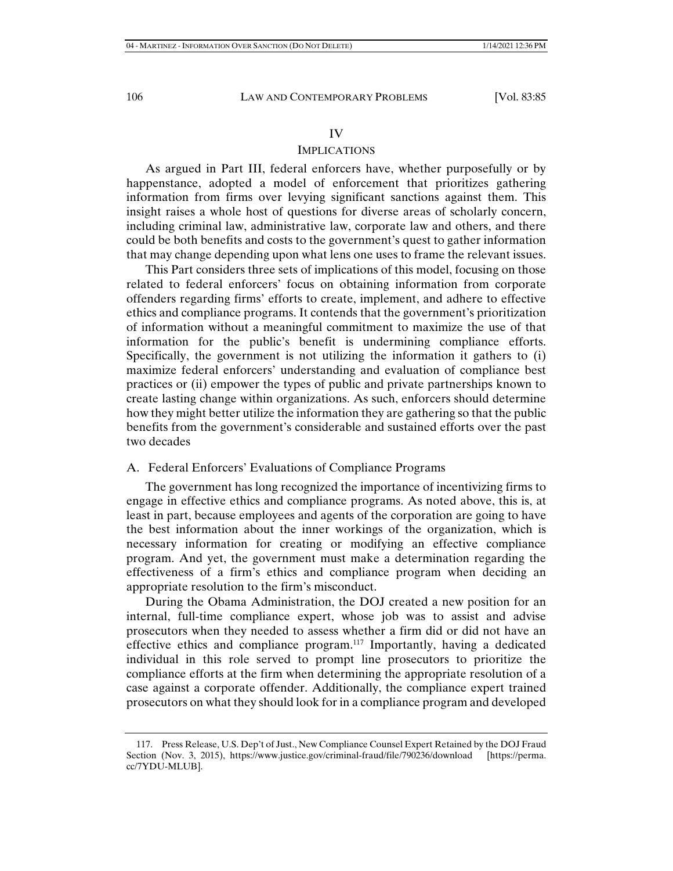## IV

## IMPLICATIONS

As argued in Part III, federal enforcers have, whether purposefully or by happenstance, adopted a model of enforcement that prioritizes gathering information from firms over levying significant sanctions against them. This insight raises a whole host of questions for diverse areas of scholarly concern, including criminal law, administrative law, corporate law and others, and there could be both benefits and costs to the government's quest to gather information that may change depending upon what lens one uses to frame the relevant issues.

This Part considers three sets of implications of this model, focusing on those related to federal enforcers' focus on obtaining information from corporate offenders regarding firms' efforts to create, implement, and adhere to effective ethics and compliance programs. It contends that the government's prioritization of information without a meaningful commitment to maximize the use of that information for the public's benefit is undermining compliance efforts. Specifically, the government is not utilizing the information it gathers to (i) maximize federal enforcers' understanding and evaluation of compliance best practices or (ii) empower the types of public and private partnerships known to create lasting change within organizations. As such, enforcers should determine how they might better utilize the information they are gathering so that the public benefits from the government's considerable and sustained efforts over the past two decades

## A. Federal Enforcers' Evaluations of Compliance Programs

The government has long recognized the importance of incentivizing firms to engage in effective ethics and compliance programs. As noted above, this is, at least in part, because employees and agents of the corporation are going to have the best information about the inner workings of the organization, which is necessary information for creating or modifying an effective compliance program. And yet, the government must make a determination regarding the effectiveness of a firm's ethics and compliance program when deciding an appropriate resolution to the firm's misconduct.

During the Obama Administration, the DOJ created a new position for an internal, full-time compliance expert, whose job was to assist and advise prosecutors when they needed to assess whether a firm did or did not have an effective ethics and compliance program.117 Importantly, having a dedicated individual in this role served to prompt line prosecutors to prioritize the compliance efforts at the firm when determining the appropriate resolution of a case against a corporate offender. Additionally, the compliance expert trained prosecutors on what they should look for in a compliance program and developed

 <sup>117.</sup> Press Release, U.S. Dep't of Just., New Compliance Counsel Expert Retained by the DOJ Fraud Section (Nov. 3, 2015), https://www.justice.gov/criminal-fraud/file/790236/download [https://perma. cc/7YDU-MLUB].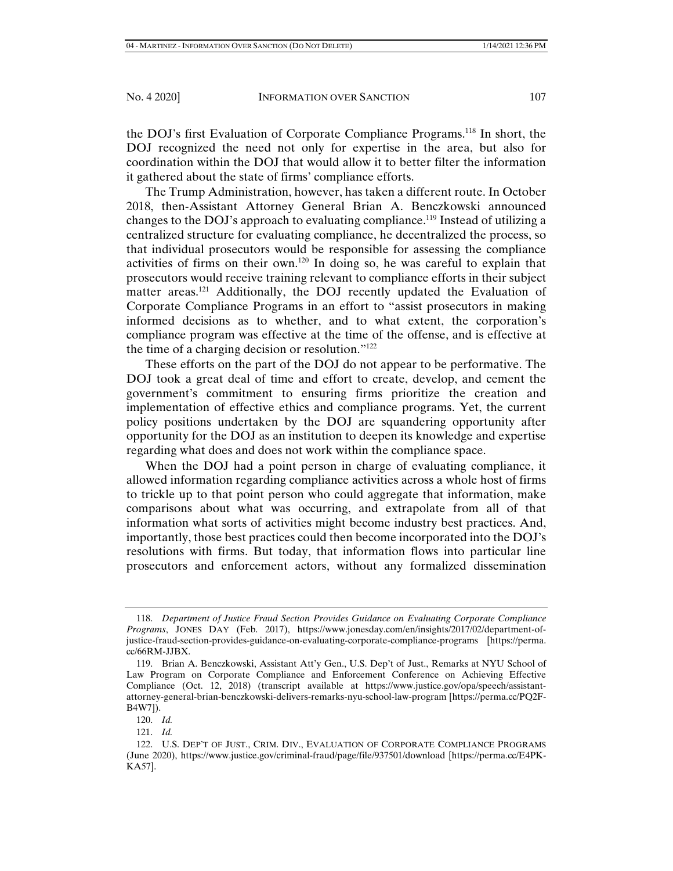the DOJ's first Evaluation of Corporate Compliance Programs.118 In short, the DOJ recognized the need not only for expertise in the area, but also for coordination within the DOJ that would allow it to better filter the information it gathered about the state of firms' compliance efforts.

The Trump Administration, however, has taken a different route. In October 2018, then-Assistant Attorney General Brian A. Benczkowski announced changes to the DOJ's approach to evaluating compliance.119 Instead of utilizing a centralized structure for evaluating compliance, he decentralized the process, so that individual prosecutors would be responsible for assessing the compliance activities of firms on their own.120 In doing so, he was careful to explain that prosecutors would receive training relevant to compliance efforts in their subject matter areas.<sup>121</sup> Additionally, the DOJ recently updated the Evaluation of Corporate Compliance Programs in an effort to "assist prosecutors in making informed decisions as to whether, and to what extent, the corporation's compliance program was effective at the time of the offense, and is effective at the time of a charging decision or resolution."122

These efforts on the part of the DOJ do not appear to be performative. The DOJ took a great deal of time and effort to create, develop, and cement the government's commitment to ensuring firms prioritize the creation and implementation of effective ethics and compliance programs. Yet, the current policy positions undertaken by the DOJ are squandering opportunity after opportunity for the DOJ as an institution to deepen its knowledge and expertise regarding what does and does not work within the compliance space.

When the DOJ had a point person in charge of evaluating compliance, it allowed information regarding compliance activities across a whole host of firms to trickle up to that point person who could aggregate that information, make comparisons about what was occurring, and extrapolate from all of that information what sorts of activities might become industry best practices. And, importantly, those best practices could then become incorporated into the DOJ's resolutions with firms. But today, that information flows into particular line prosecutors and enforcement actors, without any formalized dissemination

 <sup>118.</sup> *Department of Justice Fraud Section Provides Guidance on Evaluating Corporate Compliance Programs*, JONES DAY (Feb. 2017), https://www.jonesday.com/en/insights/2017/02/department-ofjustice-fraud-section-provides-guidance-on-evaluating-corporate-compliance-programs [https://perma. cc/66RM-JJBX.

 <sup>119.</sup> Brian A. Benczkowski, Assistant Att'y Gen., U.S. Dep't of Just., Remarks at NYU School of Law Program on Corporate Compliance and Enforcement Conference on Achieving Effective Compliance (Oct. 12, 2018) (transcript available at https://www.justice.gov/opa/speech/assistantattorney-general-brian-benczkowski-delivers-remarks-nyu-school-law-program [https://perma.cc/PQ2F-B4W7]).

 <sup>120.</sup> *Id.*

 <sup>121.</sup> *Id.*

 <sup>122.</sup> U.S. DEP'T OF JUST., CRIM. DIV., EVALUATION OF CORPORATE COMPLIANCE PROGRAMS (June 2020), https://www.justice.gov/criminal-fraud/page/file/937501/download [https://perma.cc/E4PK-KA57].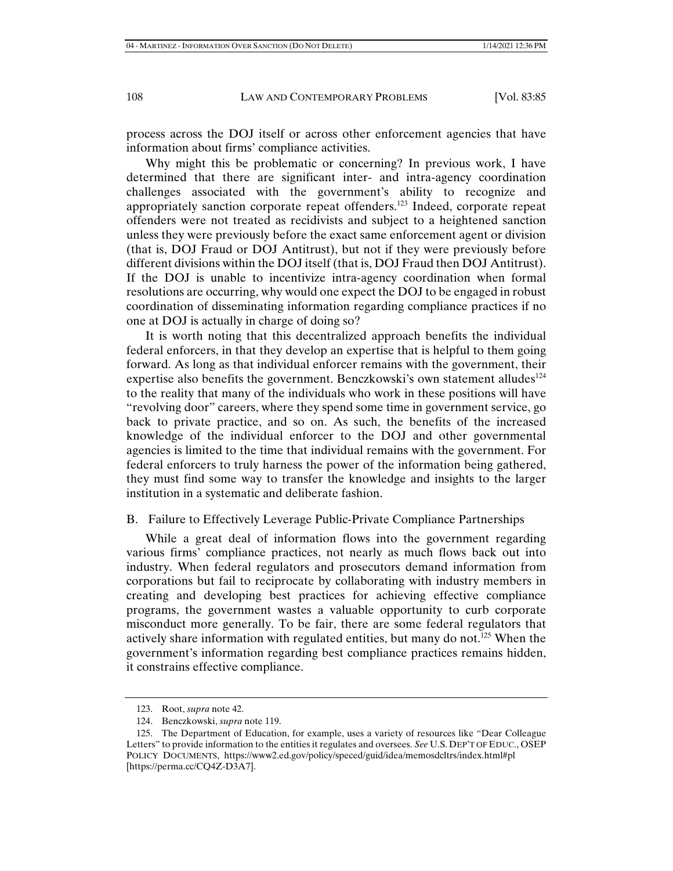process across the DOJ itself or across other enforcement agencies that have information about firms' compliance activities.

Why might this be problematic or concerning? In previous work, I have determined that there are significant inter- and intra-agency coordination challenges associated with the government's ability to recognize and appropriately sanction corporate repeat offenders.<sup>123</sup> Indeed, corporate repeat offenders were not treated as recidivists and subject to a heightened sanction unless they were previously before the exact same enforcement agent or division (that is, DOJ Fraud or DOJ Antitrust), but not if they were previously before different divisions within the DOJ itself (that is, DOJ Fraud then DOJ Antitrust). If the DOJ is unable to incentivize intra-agency coordination when formal resolutions are occurring, why would one expect the DOJ to be engaged in robust coordination of disseminating information regarding compliance practices if no one at DOJ is actually in charge of doing so?

It is worth noting that this decentralized approach benefits the individual federal enforcers, in that they develop an expertise that is helpful to them going forward. As long as that individual enforcer remains with the government, their expertise also benefits the government. Benczkowski's own statement alludes<sup>124</sup> to the reality that many of the individuals who work in these positions will have "revolving door" careers, where they spend some time in government service, go back to private practice, and so on. As such, the benefits of the increased knowledge of the individual enforcer to the DOJ and other governmental agencies is limited to the time that individual remains with the government. For federal enforcers to truly harness the power of the information being gathered, they must find some way to transfer the knowledge and insights to the larger institution in a systematic and deliberate fashion.

## B. Failure to Effectively Leverage Public-Private Compliance Partnerships

While a great deal of information flows into the government regarding various firms' compliance practices, not nearly as much flows back out into industry. When federal regulators and prosecutors demand information from corporations but fail to reciprocate by collaborating with industry members in creating and developing best practices for achieving effective compliance programs, the government wastes a valuable opportunity to curb corporate misconduct more generally. To be fair, there are some federal regulators that actively share information with regulated entities, but many do not.<sup>125</sup> When the government's information regarding best compliance practices remains hidden, it constrains effective compliance.

 <sup>123.</sup> Root, *supra* note 42.

 <sup>124.</sup> Benczkowski, *supra* note 119.

 <sup>125.</sup> The Department of Education, for example, uses a variety of resources like "Dear Colleague Letters" to provide information to the entities it regulates and oversees. *See* U.S. DEP'T OF EDUC., OSEP POLICY DOCUMENTS, https://www2.ed.gov/policy/speced/guid/idea/memosdcltrs/index.html#pl [https://perma.cc/CQ4Z-D3A7].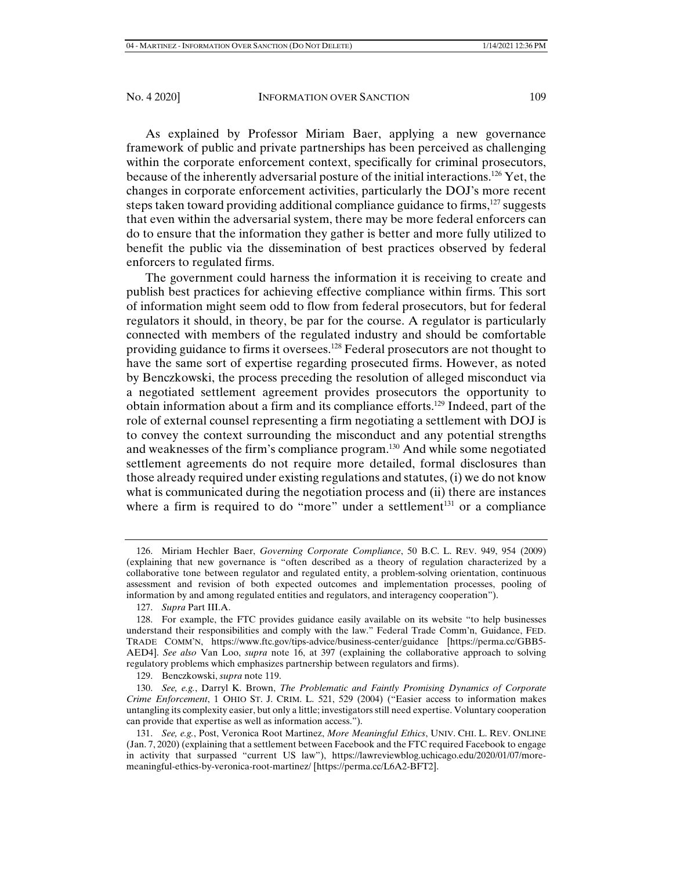As explained by Professor Miriam Baer, applying a new governance framework of public and private partnerships has been perceived as challenging within the corporate enforcement context, specifically for criminal prosecutors, because of the inherently adversarial posture of the initial interactions.126 Yet, the changes in corporate enforcement activities, particularly the DOJ's more recent steps taken toward providing additional compliance guidance to firms, $127$  suggests that even within the adversarial system, there may be more federal enforcers can do to ensure that the information they gather is better and more fully utilized to benefit the public via the dissemination of best practices observed by federal enforcers to regulated firms.

The government could harness the information it is receiving to create and publish best practices for achieving effective compliance within firms. This sort of information might seem odd to flow from federal prosecutors, but for federal regulators it should, in theory, be par for the course. A regulator is particularly connected with members of the regulated industry and should be comfortable providing guidance to firms it oversees.<sup>128</sup> Federal prosecutors are not thought to have the same sort of expertise regarding prosecuted firms. However, as noted by Benczkowski, the process preceding the resolution of alleged misconduct via a negotiated settlement agreement provides prosecutors the opportunity to obtain information about a firm and its compliance efforts.129 Indeed, part of the role of external counsel representing a firm negotiating a settlement with DOJ is to convey the context surrounding the misconduct and any potential strengths and weaknesses of the firm's compliance program.130 And while some negotiated settlement agreements do not require more detailed, formal disclosures than those already required under existing regulations and statutes, (i) we do not know what is communicated during the negotiation process and (ii) there are instances where a firm is required to do "more" under a settlement $131$  or a compliance

 <sup>126.</sup> Miriam Hechler Baer, *Governing Corporate Compliance*, 50 B.C. L. REV. 949, 954 (2009) (explaining that new governance is "often described as a theory of regulation characterized by a collaborative tone between regulator and regulated entity, a problem-solving orientation, continuous assessment and revision of both expected outcomes and implementation processes, pooling of information by and among regulated entities and regulators, and interagency cooperation").

 <sup>127.</sup> *Supra* Part III.A.

 <sup>128.</sup> For example, the FTC provides guidance easily available on its website "to help businesses understand their responsibilities and comply with the law." Federal Trade Comm'n, Guidance, FED. TRADE COMM'N, https://www.ftc.gov/tips-advice/business-center/guidance [https://perma.cc/GBB5- AED4]. *See also* Van Loo, *supra* note 16, at 397 (explaining the collaborative approach to solving regulatory problems which emphasizes partnership between regulators and firms).

 <sup>129.</sup> Benczkowski, *supra* note 119.

 <sup>130.</sup> *See, e.g.*, Darryl K. Brown, *The Problematic and Faintly Promising Dynamics of Corporate Crime Enforcement*, 1 OHIO ST. J. CRIM. L. 521, 529 (2004) ("Easier access to information makes untangling its complexity easier, but only a little; investigators still need expertise. Voluntary cooperation can provide that expertise as well as information access.").

 <sup>131.</sup> *See, e.g.*, Post, Veronica Root Martinez, *More Meaningful Ethics*, UNIV. CHI. L. REV. ONLINE (Jan. 7, 2020) (explaining that a settlement between Facebook and the FTC required Facebook to engage in activity that surpassed "current US law"), https://lawreviewblog.uchicago.edu/2020/01/07/moremeaningful-ethics-by-veronica-root-martinez/ [https://perma.cc/L6A2-BFT2].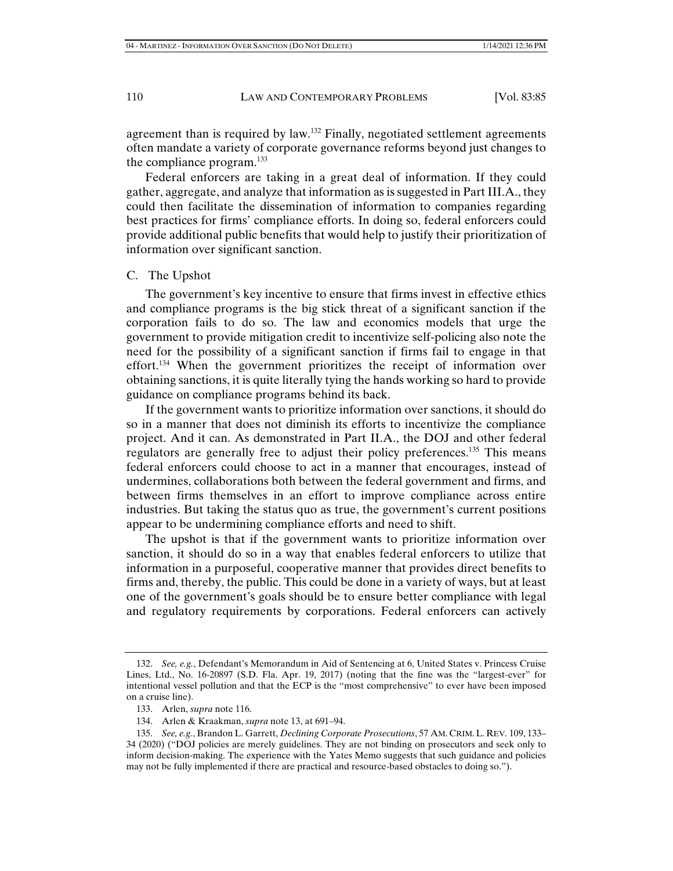agreement than is required by law.<sup>132</sup> Finally, negotiated settlement agreements often mandate a variety of corporate governance reforms beyond just changes to the compliance program. $^{133}$ 

Federal enforcers are taking in a great deal of information. If they could gather, aggregate, and analyze that information as is suggested in Part III.A., they could then facilitate the dissemination of information to companies regarding best practices for firms' compliance efforts. In doing so, federal enforcers could provide additional public benefits that would help to justify their prioritization of information over significant sanction.

## C. The Upshot

The government's key incentive to ensure that firms invest in effective ethics and compliance programs is the big stick threat of a significant sanction if the corporation fails to do so. The law and economics models that urge the government to provide mitigation credit to incentivize self-policing also note the need for the possibility of a significant sanction if firms fail to engage in that effort.134 When the government prioritizes the receipt of information over obtaining sanctions, it is quite literally tying the hands working so hard to provide guidance on compliance programs behind its back.

If the government wants to prioritize information over sanctions, it should do so in a manner that does not diminish its efforts to incentivize the compliance project. And it can. As demonstrated in Part II.A., the DOJ and other federal regulators are generally free to adjust their policy preferences.135 This means federal enforcers could choose to act in a manner that encourages, instead of undermines, collaborations both between the federal government and firms, and between firms themselves in an effort to improve compliance across entire industries. But taking the status quo as true, the government's current positions appear to be undermining compliance efforts and need to shift.

The upshot is that if the government wants to prioritize information over sanction, it should do so in a way that enables federal enforcers to utilize that information in a purposeful, cooperative manner that provides direct benefits to firms and, thereby, the public. This could be done in a variety of ways, but at least one of the government's goals should be to ensure better compliance with legal and regulatory requirements by corporations. Federal enforcers can actively

 <sup>132.</sup> *See, e.g.*, Defendant's Memorandum in Aid of Sentencing at 6, United States v. Princess Cruise Lines, Ltd., No. 16-20897 (S.D. Fla. Apr. 19, 2017) (noting that the fine was the "largest-ever" for intentional vessel pollution and that the ECP is the "most comprehensive" to ever have been imposed on a cruise line).

 <sup>133.</sup> Arlen, *supra* note 116.

 <sup>134.</sup> Arlen & Kraakman, *supra* note 13, at 691–94.

 <sup>135.</sup> *See, e.g.*, Brandon L. Garrett, *Declining Corporate Prosecutions*, 57 AM. CRIM.L. REV. 109, 133– 34 (2020) ("DOJ policies are merely guidelines. They are not binding on prosecutors and seek only to inform decision-making. The experience with the Yates Memo suggests that such guidance and policies may not be fully implemented if there are practical and resource-based obstacles to doing so.").